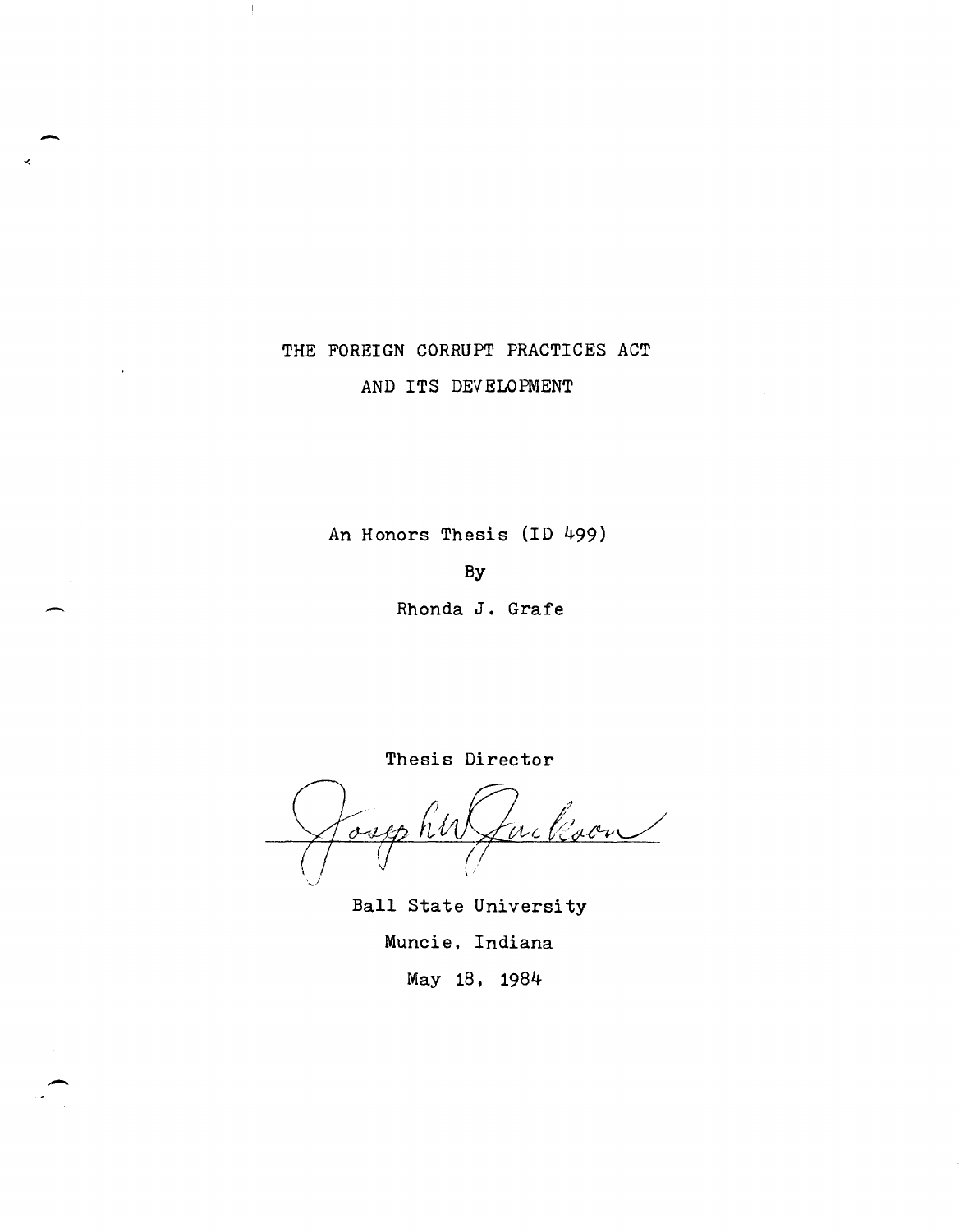# THE FOREIGN CORRUPT PRACTICES ACT AND ITS DEVELOPMENT

-

 $\mathbf{I}$ 

-

-

An Honors Thesis (ID 499)

By

Rhonda J. Grafe

ackson over

Thesis Director

Ball State University Muncie, Indiana May 18, 1984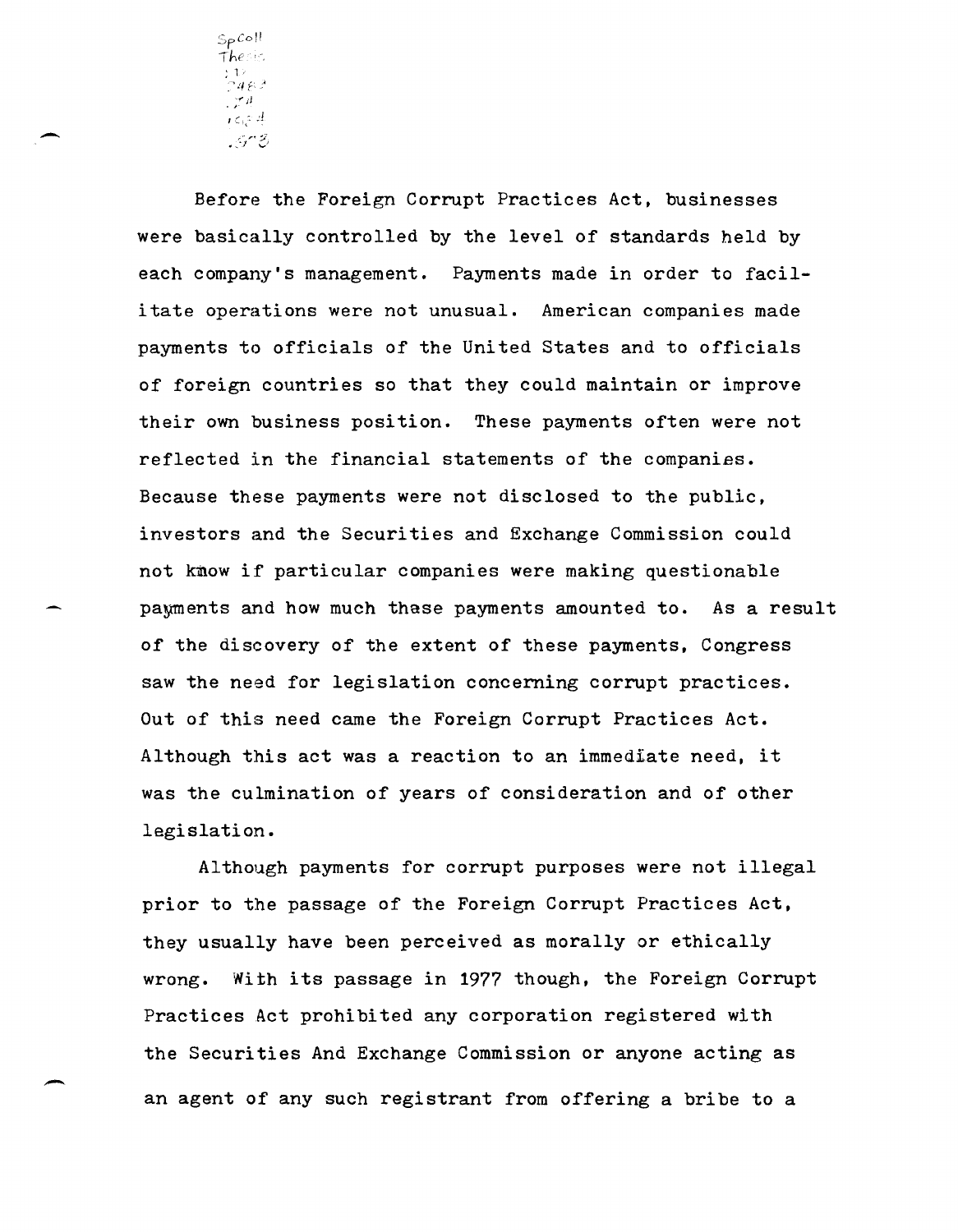$\mathsf{Sp}\mathcal{C}\circ\mathbb H$ *Ihe* ", ; 1 '  $\cdot$  ;  $\cdot$   $\cdot$  $\iota \in \mathbb{R}^d$ :,.. .. ~ ~:, \_ '-. f .......

Before the Foreign Corrupt Practices Act, businesses were basically controlled by the level of standards held by each company's management. Payments made in order to facilitate operations were not unusual. American companies made payments to officials of the United States and to officials of foreign countries so that they could maintain or improve their own business position. These payments often were not reflected in the financial statements of the companies. Because these payments were not disclosed to the public, investors and the Securities and Exchange Commission could not know if particular companies were making questionable payments and how much thase payments amounted to. As a result of the discovery of the extent of these payments, Congress saw the need for legislation concerning corrupt practices. Out of this need came the Foreign Corrupt Practices Act. Although this act was a reaction to an immediate need, it was the culmination of years of consideration and of other legislation.

Although payments for corrupt purposes were not illegal prior to the passage of the Foreign Corrupt Practices Act, they usually have been perceived as morally or ethically wrong. With its passage in 1977 though, the Foreign Corrupt Practices Act prohibited any corporation registered with the Securities And Exchange Commission or anyone acting as an agent of any such registrant from offering a bribe to a

-

 $\overline{\phantom{a}}$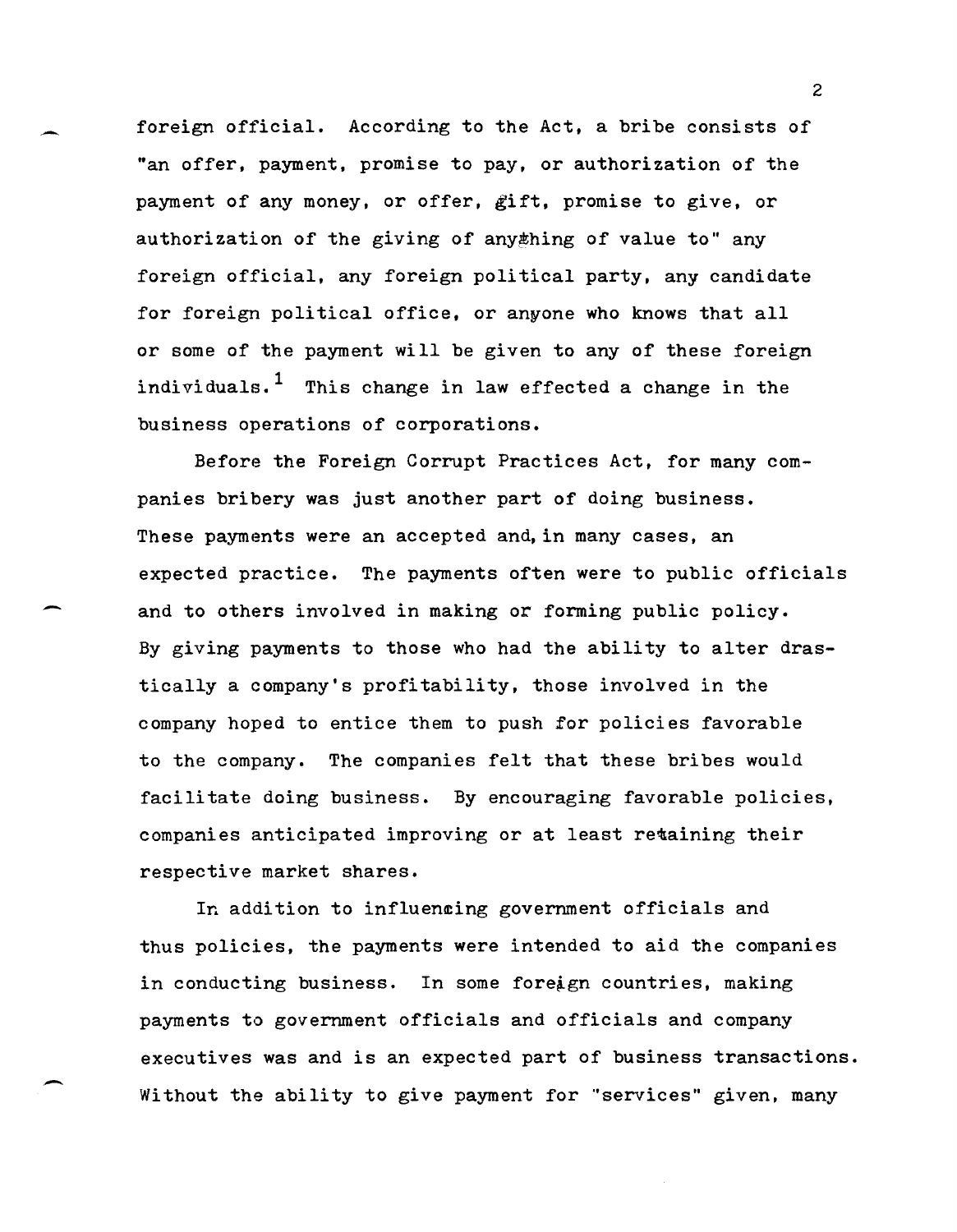foreign official. According to the Act, a bribe consists of "an offer, payment, promise to pay, or authorization of the payment of any money, or offer, gift, promise to give, or authorization of the giving of any thing of value to" any foreign official, any foreign political party, any candidate for foreign political office, or anyone who knows that all or some of the payment will be given to any of these foreign individuals.<sup>1</sup> This change in law effected a change in the business operations of corporations.

Before the Foreign Corrupt Practices Act, for many companies bribery was just another part of doing business. These payments were an accepted and, in many cases, an expected practice. The payments often were to public officials and to others involved in making or forming public policy. By giving payments to those who had the ability to alter drastically a company's profitability, those involved in the company hoped to entice them to push for policies favorable to the company. The companies felt that these bribes would facilitate doing business. By encouraging favorable policies, companies anticipated improving or at least retaining their respective market shares.

-

-

In addition to influencing government officials and thus policies, the payments were intended to aid the companies in conducting business. In some foreign countries, making payments to government officials and officials and company executives was and is an expected part of business transactions. Without the ability to give payment for "services" given, many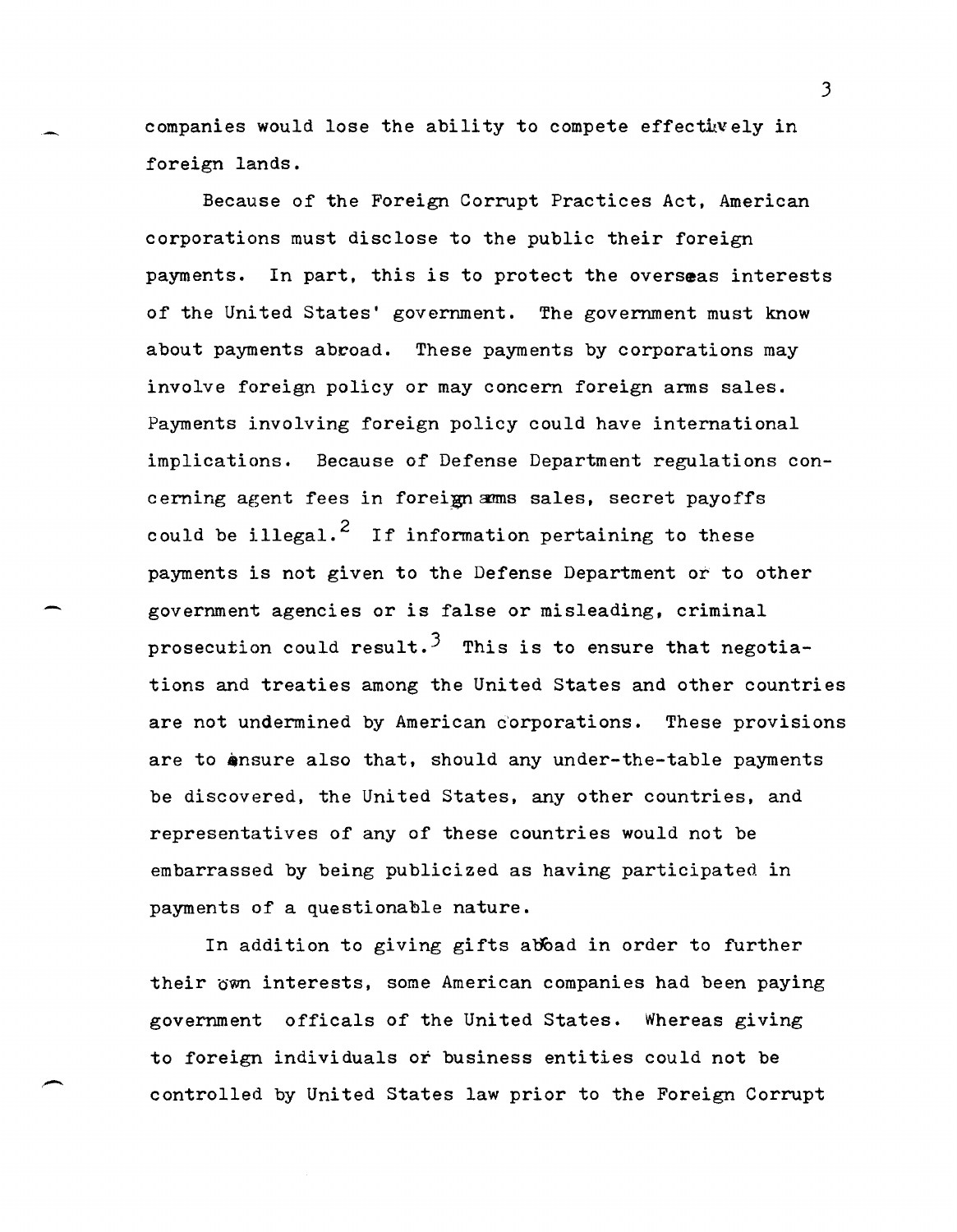companies would lose the ability to compete effectively in foreign lands.

Because of the Foreign Corrupt Practices Act, American corporations must disclose to the public their foreign payments. In part, this is to protect the overseas interests of the United States' government. The government must know about payments abroad. These payments by corporations may involve foreign policy or may concern foreign arms sales. Payments involving foreign policy could have international implications. Because of Defense Department regulations concerning agent fees in foreign amms sales, secret payoffs could be illegal.<sup>2</sup> If information pertaining to these payments is not given to the Defense Department or to other government agencies or is false or misleading, criminal prosecution could result.<sup>3</sup> This is to ensure that negotiations and treaties among the United States and other countries are not undermined by American c'orporations. These provisions are to ensure also that, should any under-the-table payments be discovered, the United States, any other countries, and representatives of any of these countries would not be embarrassed by being publicized as having participated in payments of a questionable nature.

-

In addition to giving gifts aboad in order to further their own interests, some American companies had been paying government officals of the United States. Whereas giving to foreign individuals or business entities could not be controlled by United States law prior to the Foreign Corrupt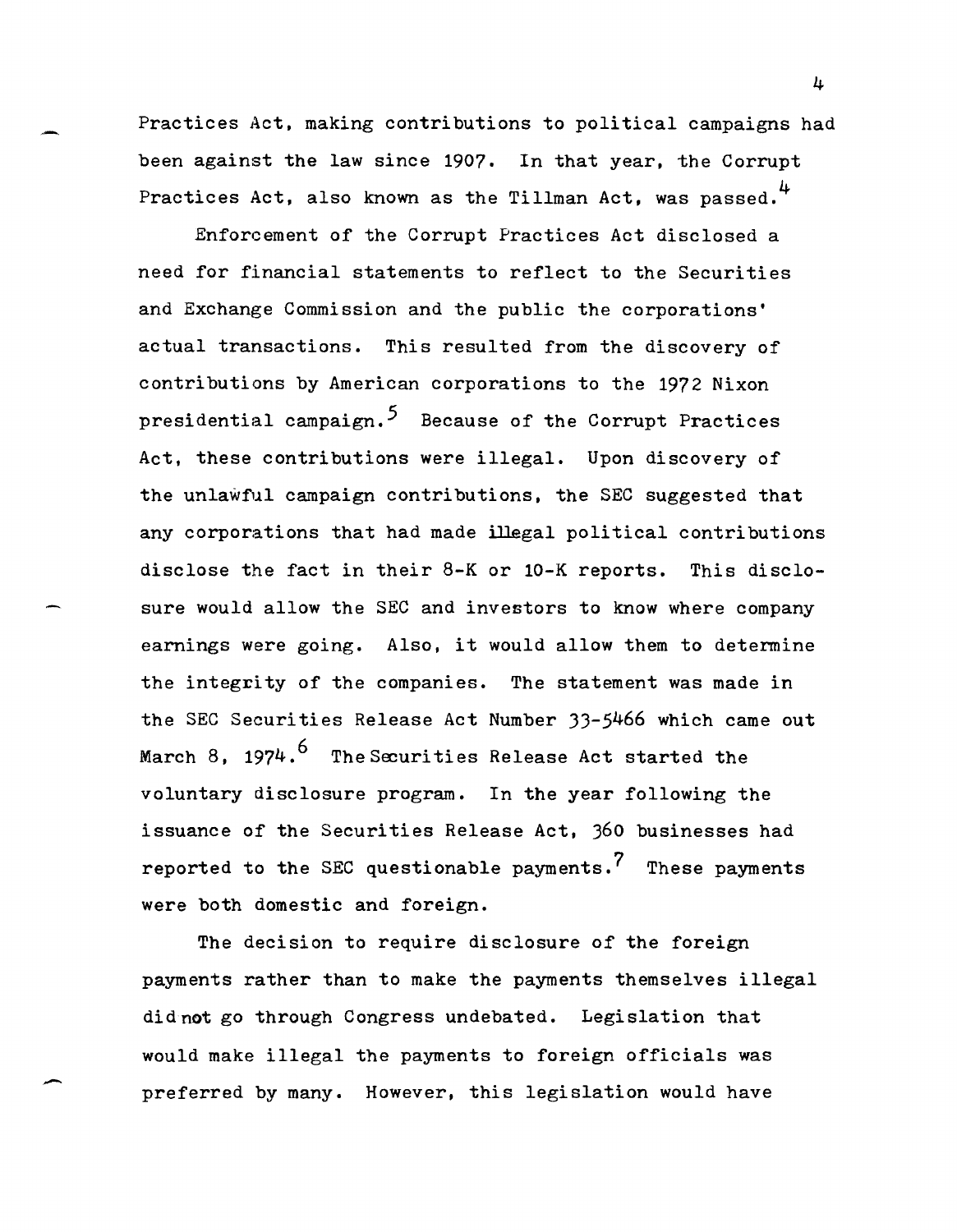Practices Act, making contributions to political campaigns had been against the law since 1907. In that year, the Corrupt Practices Act, also known as the Tillman Act, was passed.<sup>4</sup>

Enforcement of the Corrupt Practices Act disclosed a need for financial statements to reflect to the Securities and Exchange Commission and the public the corporations' actual transactions. This resulted from the discovery of contributions by American corporations to the 1972 Nixon presidential campaign.<sup>5</sup> Because of the Corrupt Practices Act, these contributions were illegal. Upon discovery of the unlawful campaign contributions, the SEC suggested that any corporations that had made illegal political contributions disclose the fact in their 8-K or 10-K reports. This disclosure would allow the SEC and investors to know where company earnings were going. Also, it would allow them to determine the integrity of the companies. The statement was made in the SEC Securities Release Act Number 33-5466 which came out March 8, 1974.<sup>6</sup> The Securities Release Act started the voluntary disclosure program. In the year following the issuance of the Securities Release Act, 360 businesses had reported to the SEC questionable payments.<sup>7</sup> These payments were both domestic and foreign.

The decision to require disclosure of the foreign payments rather than to make the payments themselves illegal did not go through Congress undebated. Legislation that would make illegal the payments to foreign officials was preferred by many. However, this legislation would have

-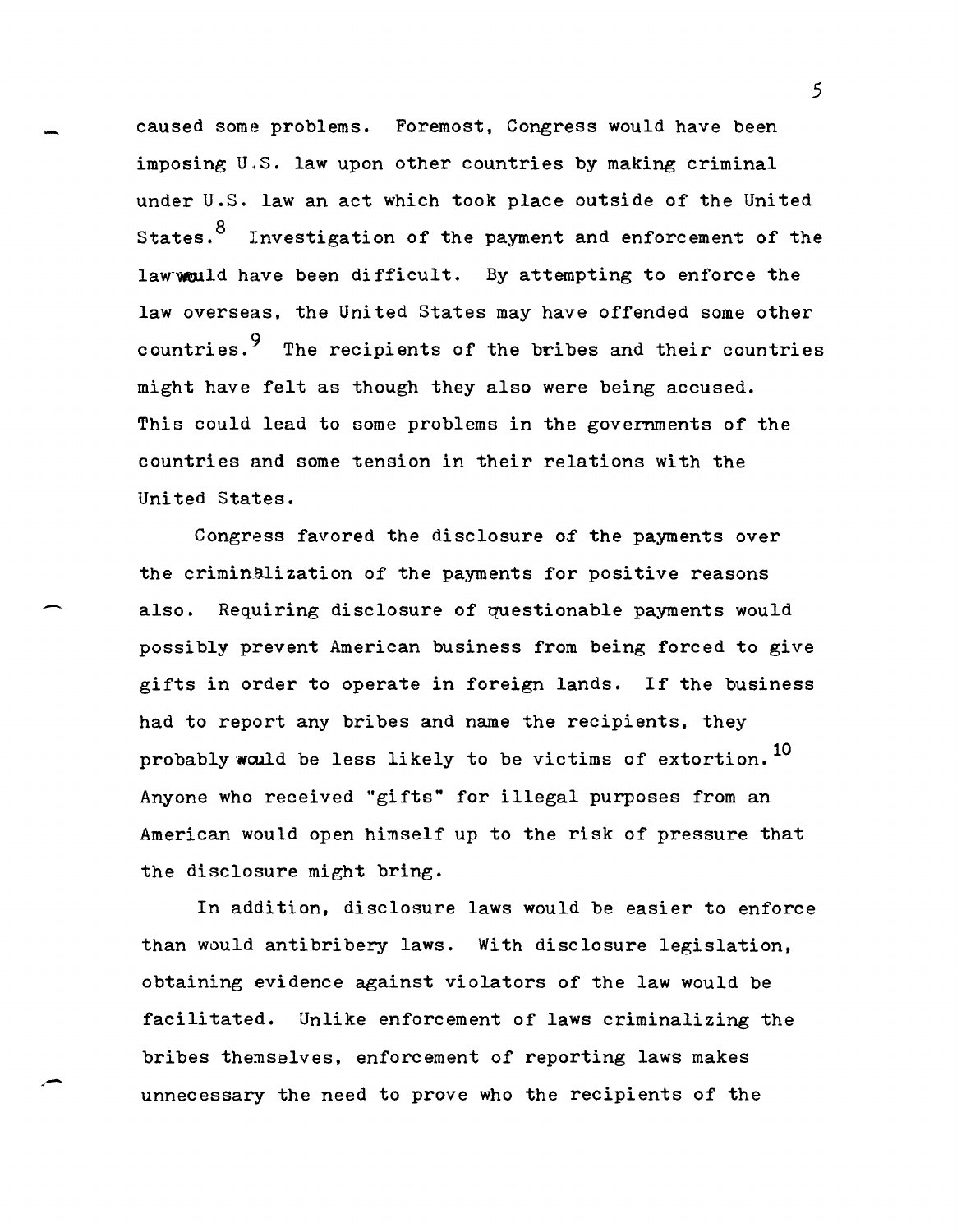caused some problems. Foremost, Congress would have been imposing U.S. law upon other countries by making criminal under U.S. law an act which took place outside of the United States.<sup>8</sup> Investigation of the payment and enforcement of the law would have been difficult. By attempting to enforce the law overseas, the United States may have offended some other countries. The recipients of the bribes and their countries might have felt as though they also were being accused. This could lead to some problems in the governments of the countries and some tension in their relations with the United States.

Congress favored the disclosure of the payments over the criminalization of the payments for positive reasons also. Requiring disclosure of questionable payments would possibly prevent American business from being forced to give gifts in order to operate in foreign lands. If the business had to report any bribes and name the recipients, they probably would be less likely to be victims of extortion.<sup>10</sup> Anyone who received "gifts" for illegal purposes from an American would open himself up to the risk of pressure that the disclosure might bring.

In addition, disclosure laws would be easier to enforce than would antibribery laws. With disclosure legislation, obtaining evidence against violators of the law would be facilitated. Unlike enforcement of laws criminalizing the bribes themselves, enforcement of reporting laws makes unnecessary the need to prove who the recipients of the

,-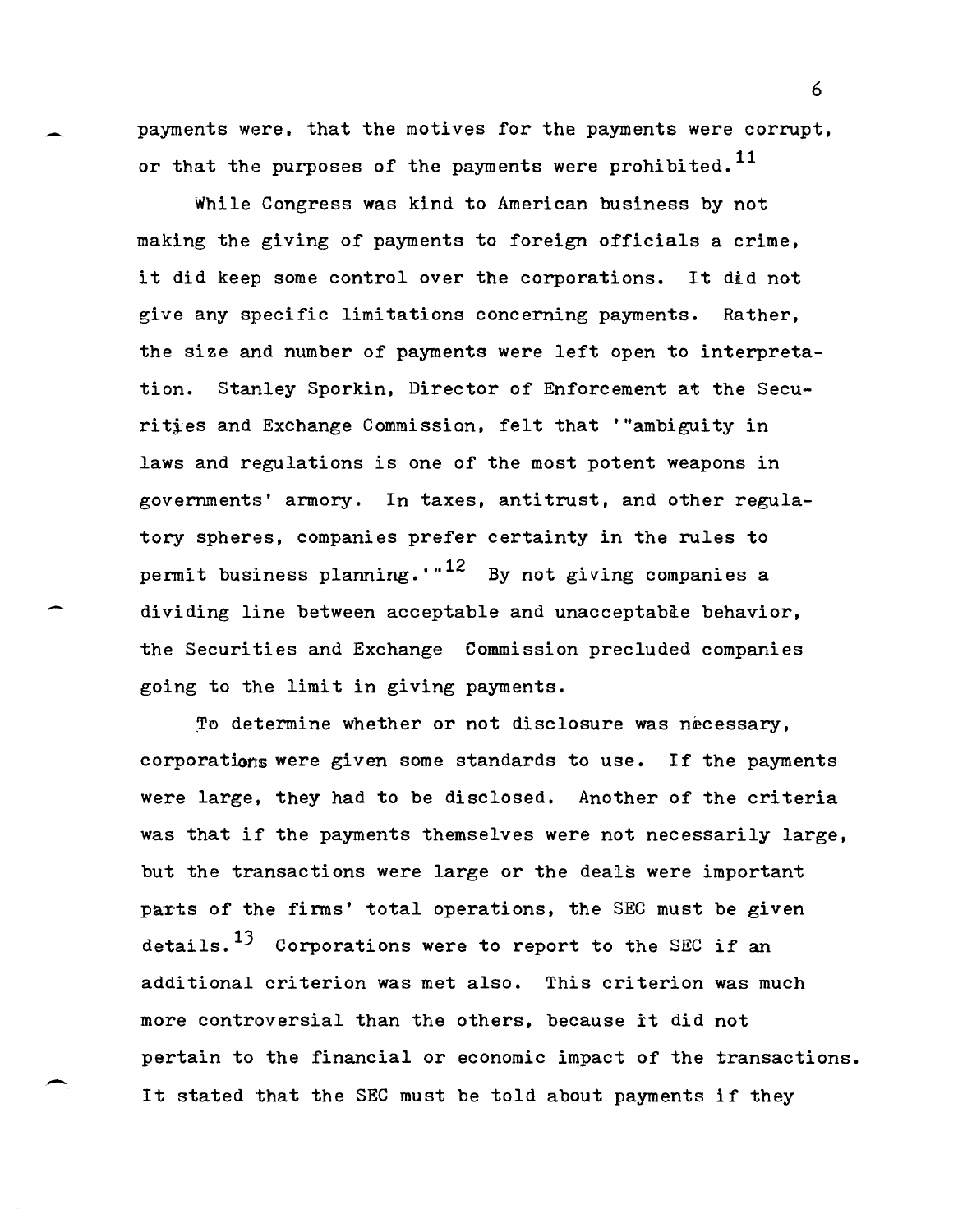payments were, that the motives for the payments were corrupt, or that the purposes of the payments were prohibited.<sup>11</sup>

While Congress was kind to American business by not making the giving of payments to foreign officials a crime, it did keep some control over the corporations. It did not give any specific limitations concerning payments. Rather, the size and number of payments were left open to interpretation. Stanley Sporkin, Director of Enforcement at the Securities and Exchange Commission, felt that "ambiguity in laws and regulations is one of the most potent weapons in governments' armory. In taxes, antitrust, and other regulatory spheres, companies prefer certainty in the rules to permit business planning.  $\cdot$   $^{12}$  By not giving companies a dividing line between acceptable and unacceptable behavior, the Securities and Exchange Commission precluded companies going to the limit in giving payments.

To determine whether or not disclosure was necessary, corporations were given some standards to use. If the payments were large, they had to be disclosed. Another of the criteria was that if the payments themselves were not necessarily large, but the transactions were large or the deals were important parts of the firms' total operations, the SEC must be given details.<sup>13</sup> Corporations were to report to the SEC if an additional criterion was met also. This criterion was much more controversial than the others, because it did not pertain to the financial or economic impact of the transactions. It stated that the SEC must be told about payments if they

-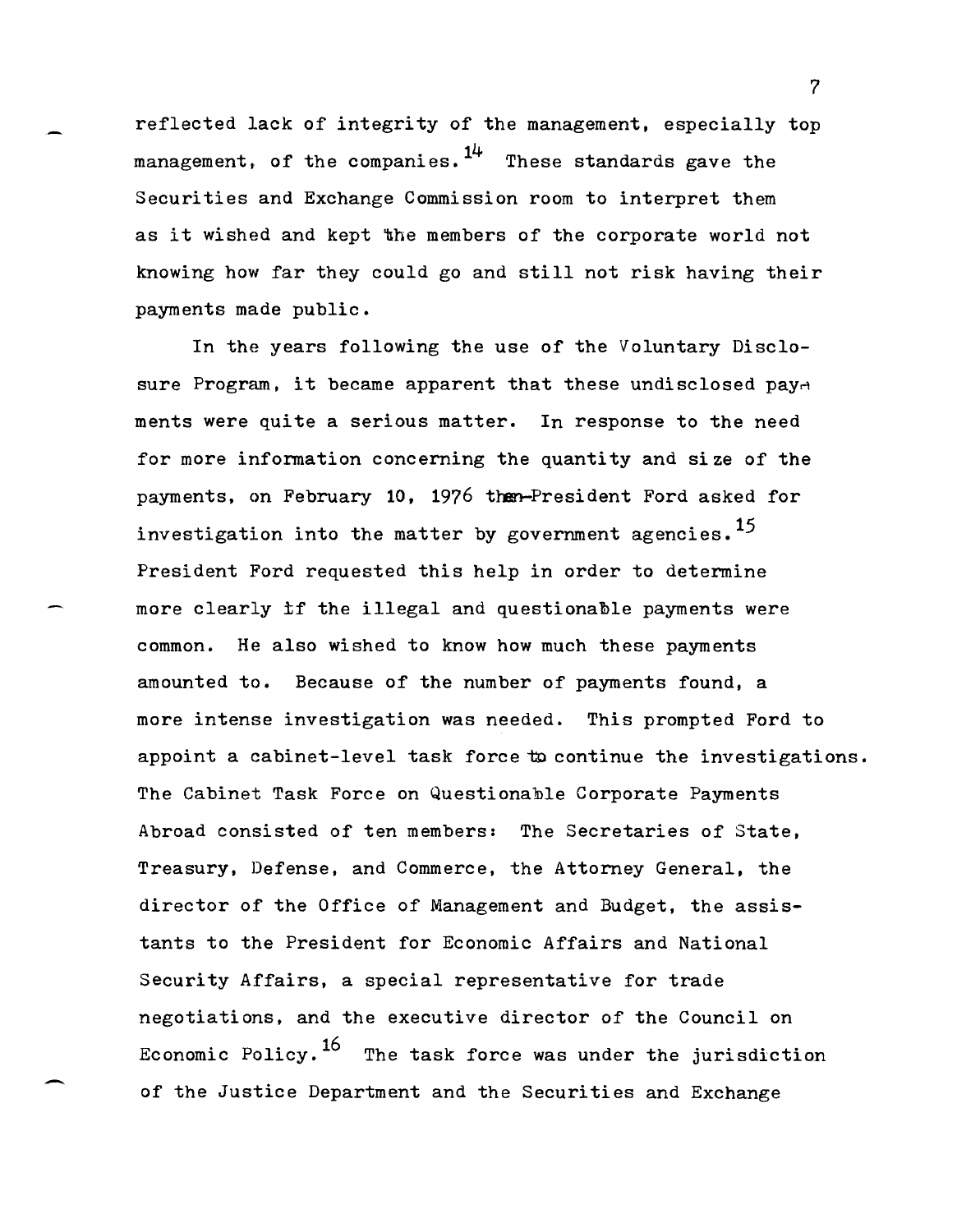reflected lack of integrity of the management, especially top management, of the companies.  $1^{4}$  These standards gave the Securities and Exchange Commission room to interpret them as it wished and kept the members of the corporate world not knowing how far they could go and still not risk having their payments made public.

In the years following the use of the Voluntary Disclosure Program, it became apparent that these undisclosed pay $\alpha$ ments were quite a serious matter. In response to the need for more information concerning the quantity and size of the payments, on February 10, 1976 then-President Ford asked for investigation into the matter by government agencies.<sup>15</sup> President Ford requested this help in order to determine more clearly if the illegal and questionable payments were common. He also wished to know how much these payments amounted to. Because of the number of payments found, a more intense investigation was needed. This prompted Ford to appoint a cabinet-level task force to continue the investigations. The Cabinet Task Force on Questionable Corporate Payments Abroad consisted of ten members: The Secretaries of State, Treasury, Defense, and Commerce, the Attorney General, the director of the Office of Management and Budget, the assistants to the President for Economic Affairs and National Security Affairs, a special representative for trade negotiations, and the executive director of the Council on Economic Policy.<sup>16</sup> The task force was under the jurisdiction of the Justice Department and the Securities and Exchange

-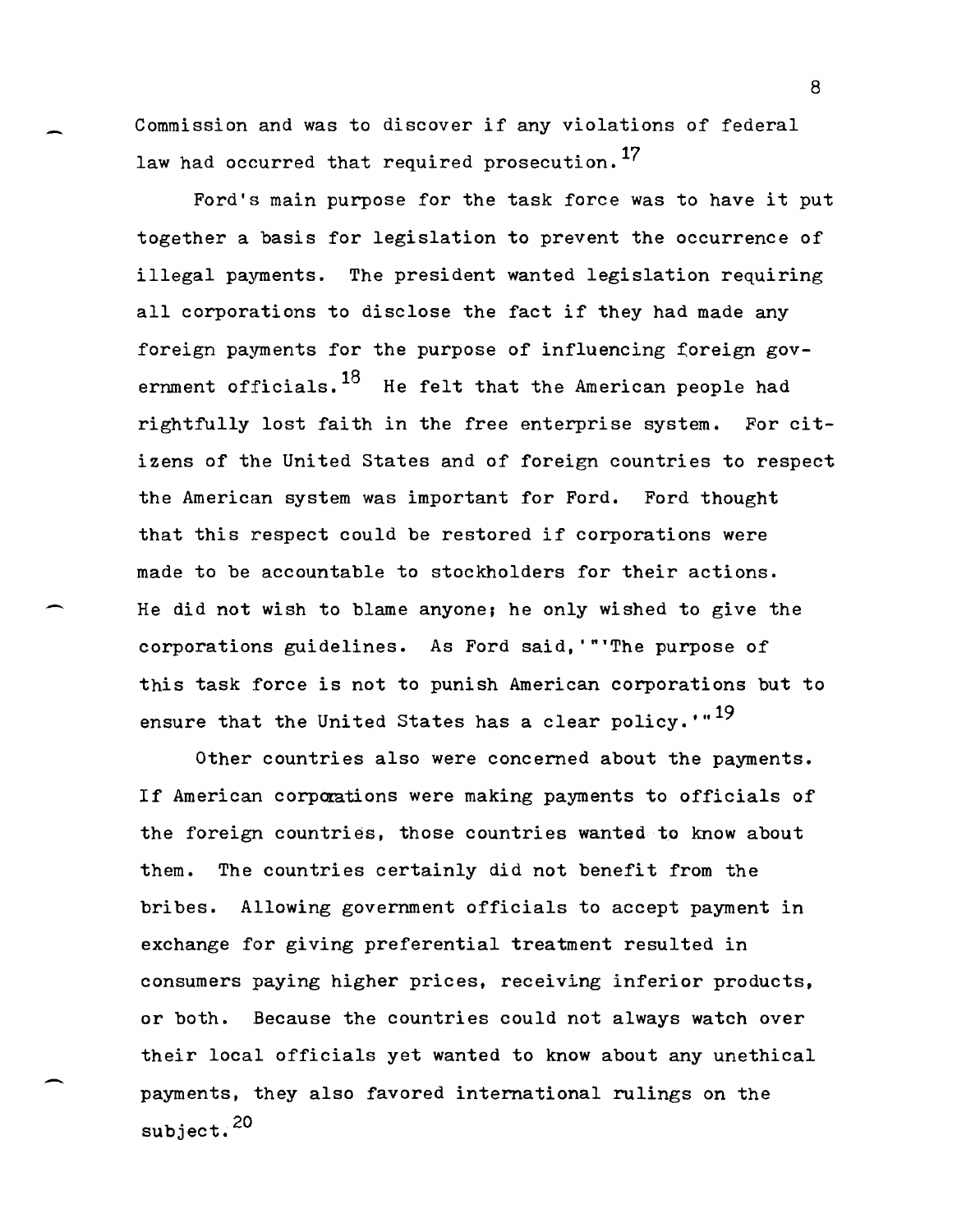Commission and was to discover if any violations of federal law had occurred that required prosecution.<sup>17</sup>

Ford's main purpose for the task force was to have it put together a basis for legislation to prevent the occurrence of illegal payments. The president wanted legislation requiring all corporations to disclose the fact if they had made any foreign payments for the purpose of influencing foreign government officials.  $18$  He felt that the American people had rightfully lost faith in the free enterprise system. For citizens of the United States and of foreign countries to respect the American system was important for Ford. Ford thought that this respect could be restored if corporations were made to be accountable to stockholders for their actions. He did not wish to blame anyone; he only wished to give the corporations guidelines. As Ford said, '"'The purpose of this task force is not to punish American corporations but to ensure that the United States has a clear policy.  $\cdot$ <sup>19</sup>

 $\overline{\phantom{0}}$ 

-

Other countries also were concerned about the payments. If American corporations were making payments to officials of the foreign countries, those countries wanted to know about them. The countries certainly did not benefit from the bribes. Allowing government officials to accept payment in exchange for giving preferential treatment resulted in consumers paying higher prices, receiving inferior products, or both. Because the countries could not always watch over their local officials yet wanted to know about any unethical payments, they also favored international rulings on the subject. 20

s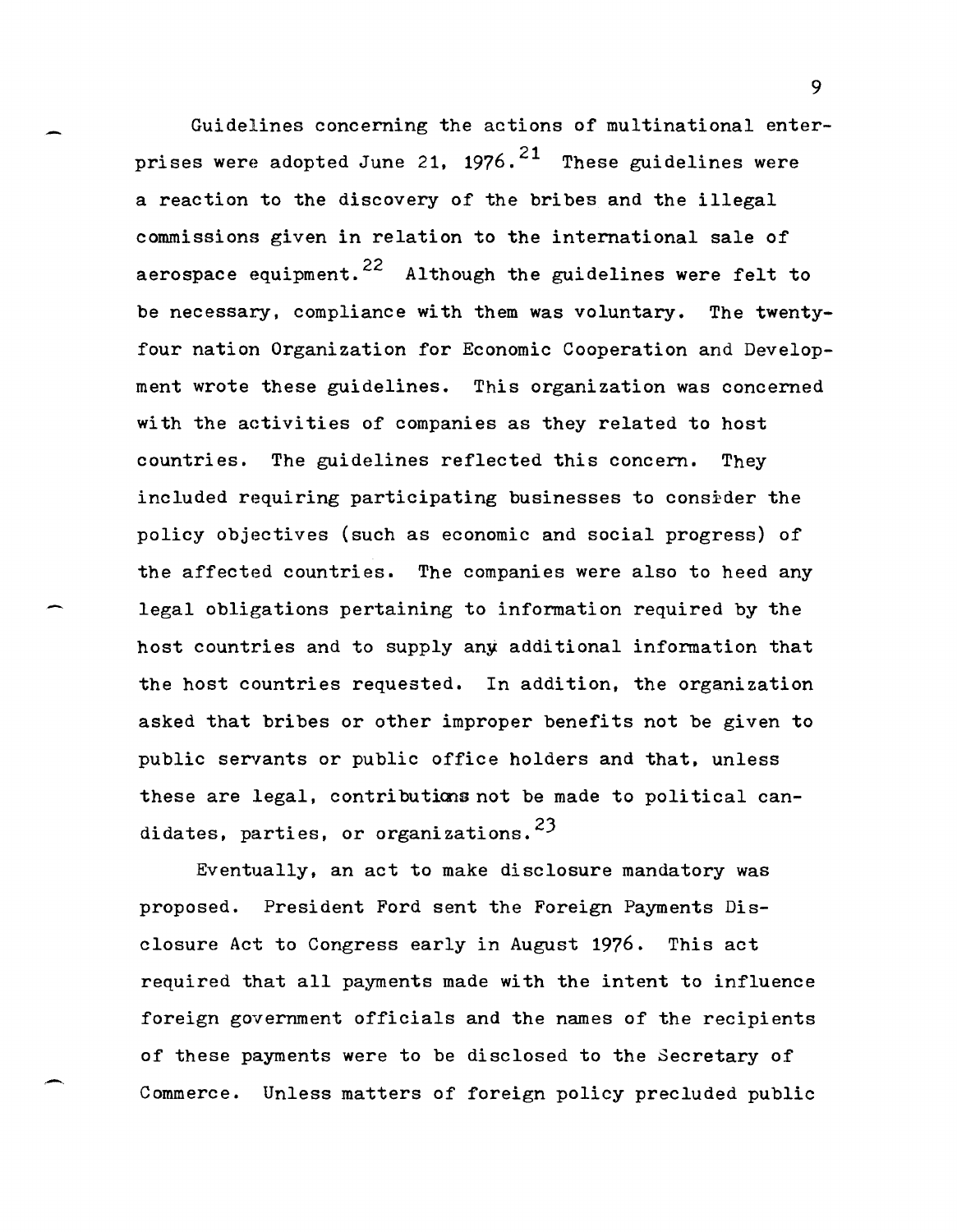Guidelines concerning the actions of multinational enterprises were adopted June 21, 1976.<sup>21</sup> These guidelines were a reaction to the discovery of the bribes and the illegal commissions given in relation to the international sale of aerospace equipment.<sup>22</sup> Although the guidelines were felt to be necessary. compliance with them was voluntary. The twentyfour nation Organization for Economic Cooperation and Development wrote these guidelines. This organization was concerned with the aetivities of companies as they related to host countries. The guidelines reflected this concern. They included requiring participating businesses to consider the policy objectives (such as economic and social progress) of the affected countries. The companies were also to heed any legal obligations pertaining to information required by the host countries and to supply any additional information that the host countries requested. In addition, the organization asked that bribes or other improper benefits not be given to public servants or public office holders and that, unless these are legal, contributions not be made to political candidates, parties, or organizations.  $23$ 

Eventually, an act to make disclosure mandatory was proposed. President Ford sent the Foreign Payments Disclosure Act to Congress early in August 1976. This act required that all payments made with the intent to influence foreign government officials and the names of the recipients of these payments were to be disclosed to the Secretary of Commerce. Unless matters of foreign policy precluded public

-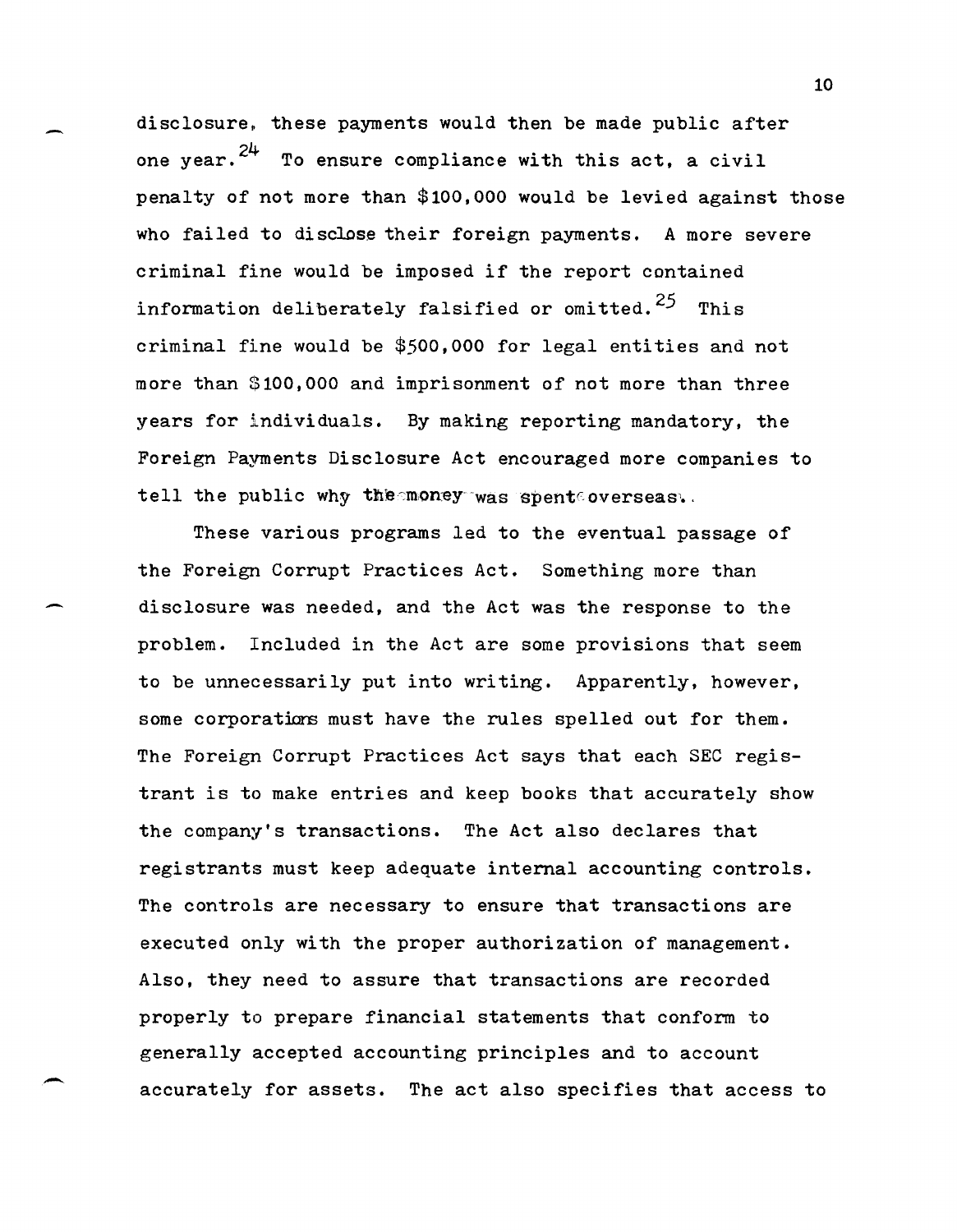disclosure, these payments would then be made public after one year. $2^{4}$  To ensure compliance with this act, a civil penalty of not more than \$100,000 would be levied against those who failed to disclose their foreign payments. A more severe criminal fine would be imposed if the report contained information deliberately falsified or omitted.<sup>25</sup> This criminal fine would be \$500,000 for legal entities and not more than \$100,000 and imprisonment of not more than three years for individuals. By making reporting mandatory, the Foreign Payments Disclosure Act encouraged more companies to tell the public why the money was spent overseas.

These various programs led to the eventual passage of the Foreign Corrupt Practices Act. Something more than disclosure was needed, and the Act was the response to the problem. Included in the Act are some provisions that seem to be unnecessarily put into writing. Apparently, however, some corporations must have the rules spelled out for them. The Foreign Corrupt Practices Act says that each SEC registrant is to make entries and keep books that accurately show the company's transactions. The Act also declares that registrants must keep adequate internal accounting controls. The controls are necessary to ensure that transactions are executed only with the proper authorization of management. Also, they need to assure that transactions are recorded properly to prepare financial statements that conform to generally accepted accounting principles and to account accurately for assets. The act also specifies that access to

--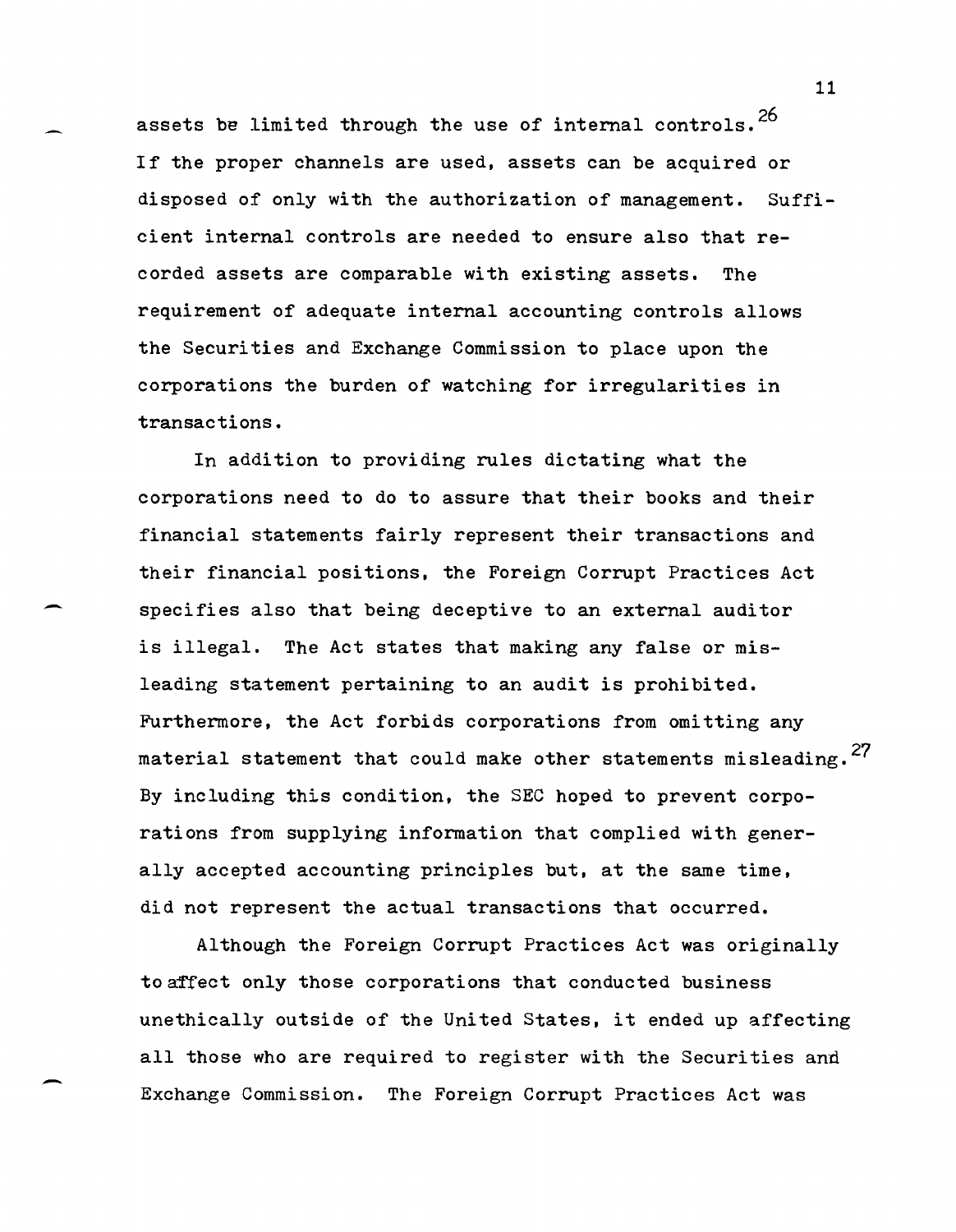assets be limited through the use of internal controls.  $26$ If the proper channels are used, assets can be acquired or disposed of only with the authorization of management. Sufficient internal controls are needed to ensure also that recorded assets are comparable with existing assets. The requirement of adequate internal accounting controls allows the Securities and Exchange Commission to place upon the corporations the burden of watching for irregularities in transactions.

In addition to providing rules dictating what the corporations need to do to assure that their books and their financial statements fairly represent their transactions and their financial positions, the Foreign Corrupt Practices Act specifies also that being deceptive to an external auditor is illegal. The Act states that making any false or misleading statement pertaining to an audit is prohibited. Furthermore, the Act forbids corporations from omitting any material statement that could make other statements misleading.<sup>27</sup> By including this condition, the SEC hoped to prevent corporations from supplying information that complied with generally accepted accounting principles but, at the same time, did not represent the actual transactions that occurred.

-

-

Although the Foreign Corrupt Practices Act was originally to affect only those corporations that conducted business unethically outside of the United States, it ended up affecting all those who are required to register with the Securities anti Exchange Commission. The Foreign Corrupt Practices Act was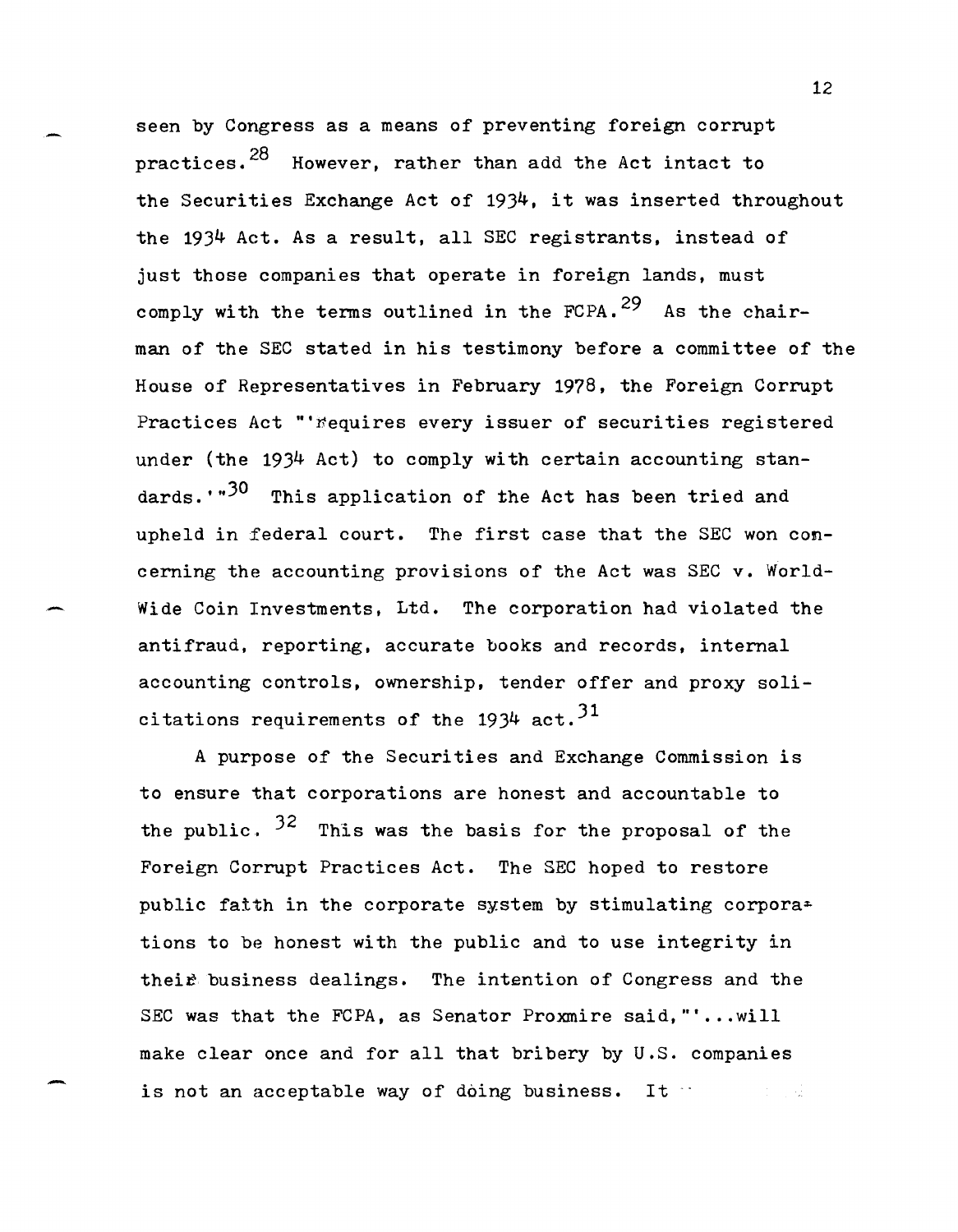seen by Congress as a means of preventing foreign corrupt practices.<sup>28</sup> However, rather than add the Act intact to the Securities Exchange Act of 1934, it was inserted throughout the 1934 Act. As a result, all SEC registrants, instead of just those companies that operate in foreign lands, must comply with the terms outlined in the FCPA.<sup>29</sup> As the chairman of the SEC stated in his testimony before a committee of the House of Representatives in February 1978, the Foreign Corrupt Practices Act "'*i*equires every issuer of securities registered under (the 1934 Act) to comply with certain accounting standards.<sup>..30</sup> This application of the Act has been tried and upheld in £ederal court. The first case that the SEC won concerning the accounting provisions of the Act was SEC v. World-Wide Coin Investments, Ltd. The corporation had violated the antifraud, reporting, accurate books and records, internal accounting controls, ownership, tender offer and proxy solicitations requirements of the 1934 act.<sup>31</sup>

A purpose of the Securities and Exchange Commission is to ensure that corporations are honest and accountable to the public.  $3^2$  This was the basis for the proposal of the Foreign Corrupt Practices Act. The SEC hoped to restore public faith in the corporate system by stimulating corpora $\pm$ tions to be honest with the public and to use integrity in their business dealings. The intention of Congress and the SEC was that the FCPA, as Senator Proxmire said,"' ... will make clear once and for all that bribery by U.S. companies is not an acceptable way of doing business. It  $\cdots$ 

-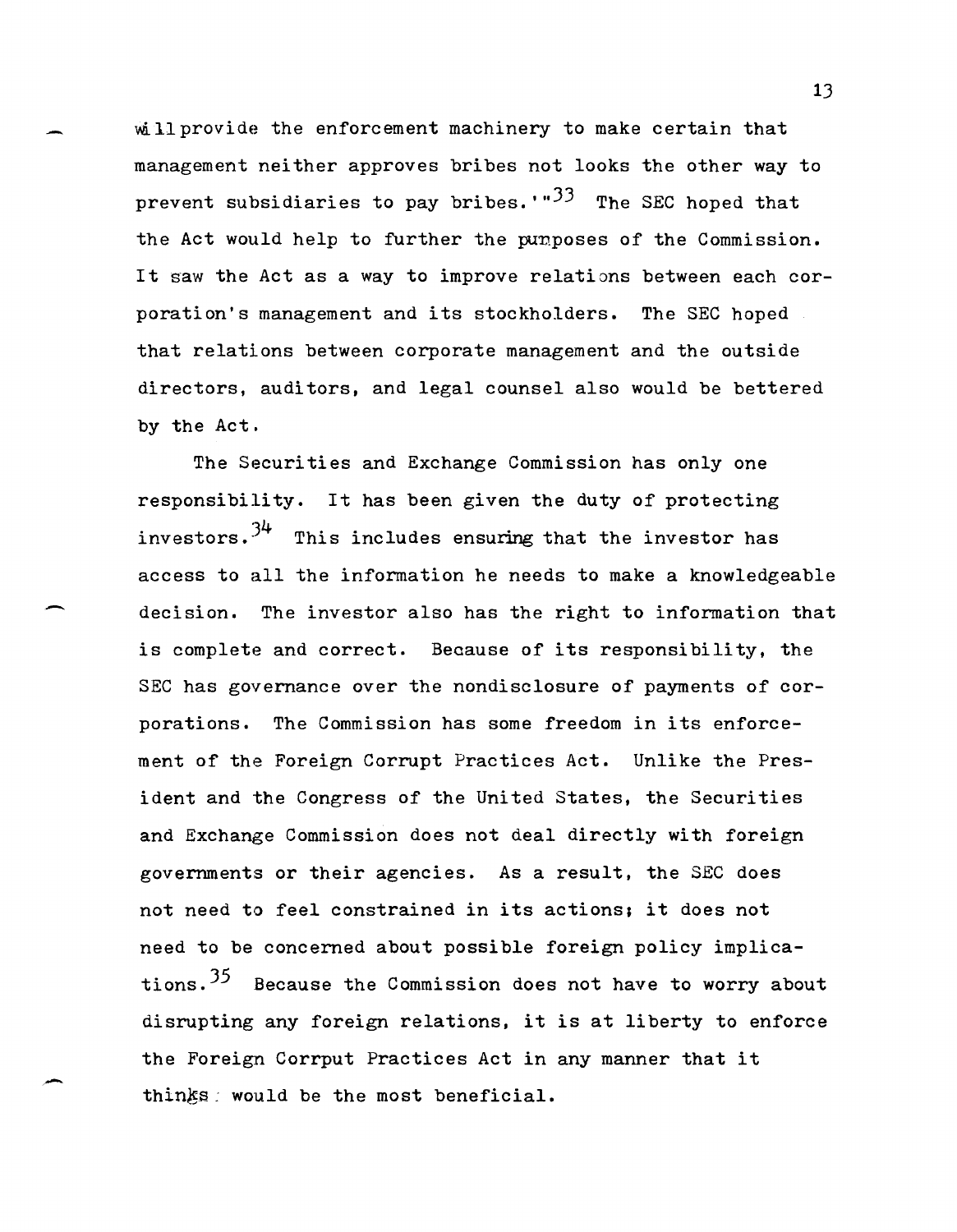will provide the enforcement machinery to make certain that management neither approves bribes not looks the other way to prevent subsidiaries to pay bribes.<sup> $1.33$ </sup> The SEC hoped that the Act would help to further the punposes of the Commission. It saw the Act as a way to improve relations between each corporation's management and its stockholders. The SEC hoped that relations between corporate management and the outside directors. auditors, and legal counsel also would be bettered by the Act.

The Securities and Exchange Commission has only one responsibility. It has been given the duty of protecting investors. $3^4$  This includes ensuring that the investor has access to all the information he needs to make a knowledgeable decision. The investor also has the right to information that is complete and correct. Because of its responsibility, the SEC has governance over the nondisclosure of payments of corporations. The Commission has some freedom in its enforcement of the Foreign Corrupt Practices Act. Unlike the President and the Congress of the United States, the Securities and Exchange Commission does not deal directly with foreign governments or their agencies. As a result, the SEC does not need to feel constrained in its actions; it does not need to be concerned about possible foreign policy implications.  $35$  Because the Commission does not have to worry about disrupting any foreign relations. it is at liberty to enforce the Foreign Corrput Practices Act in any manner that it thinks: would be the most beneficial.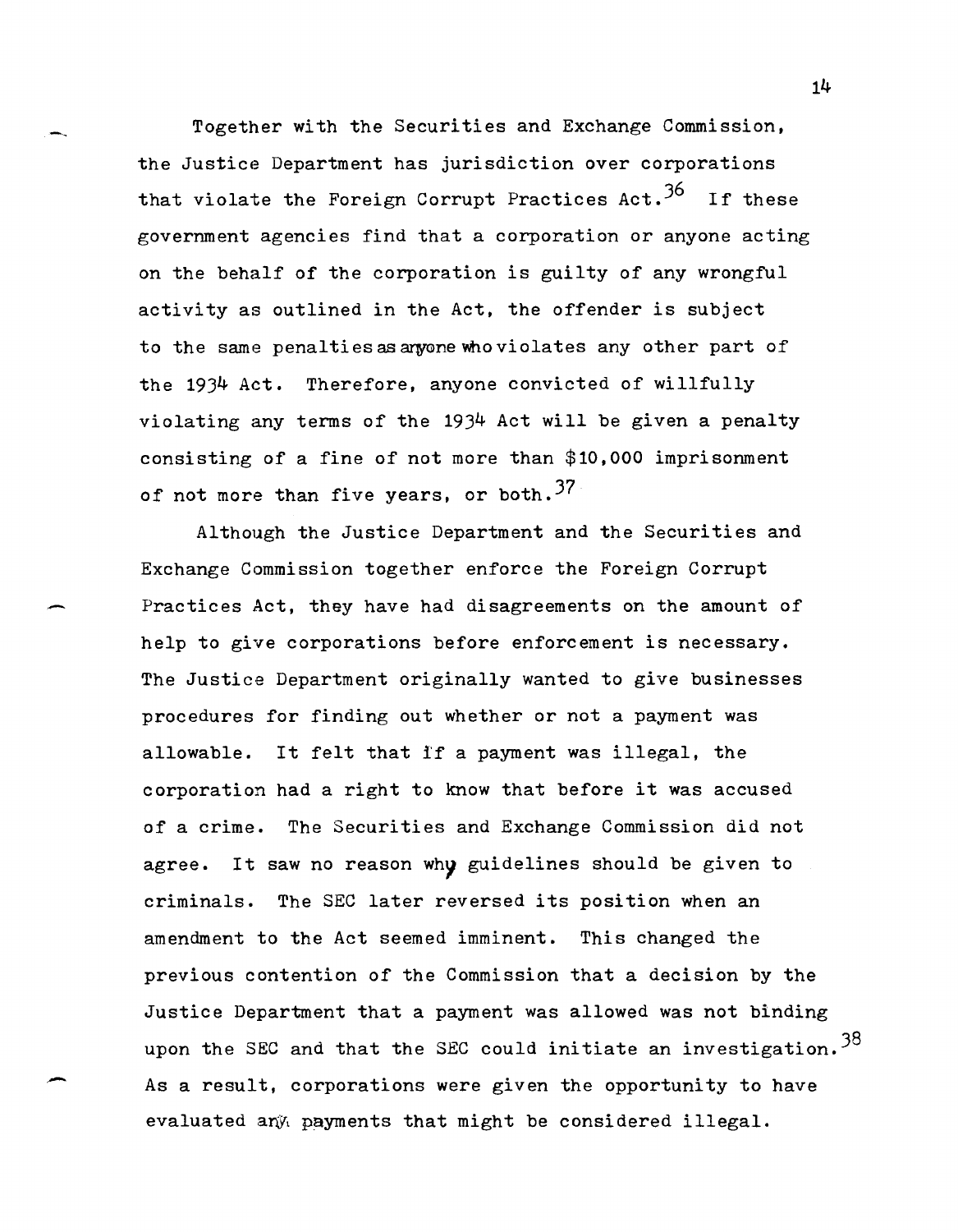Together with the Securities and Exchange Commission, the Justice Department has jurisdiction over corporations that violate the Foreign Corrupt Practices Act.  $36$  If these government agencies find that a corporation or anyone acting on the behalf of the corporation is guilty of any wrongful activity as outlined in the Act, the offender is subject to the same penalties as anyone who violates any other part of the 1934 Act. Therefore, anyone convicted of willfully violating any terms of the 1934 Act will be given a penalty consisting of a fine of not more than \$10,000 imprisonment of not more than five years, or both.  $37$ 

Although the Justice Department and the Securities and Exchange Commission together enforce the Foreign Corrupt Practices Act, they have had disagreements on the amount of help to give corporations before enforcement is necessary. The Justice Department originally wanted to give businesses procedures for finding out whether or not a payment was allowable. It felt that i'f a payment was illegal, the corporation had a right to know that before it was accused of a crime. The Securities and Exchange Commission did not agree. It saw no reason why guidelines should be given to criminals. The SEC later reversed its position when an amendment to the Act seemed imminent. This changed the previous contention of the Commission that a decision by the Justice Department that a payment was allowed was not binding upon the SEC and that the SEC could initiate an investigation.  $38$ As a result, corporations were given the opportunity to have evaluated any payments that might be considered illegal.

.-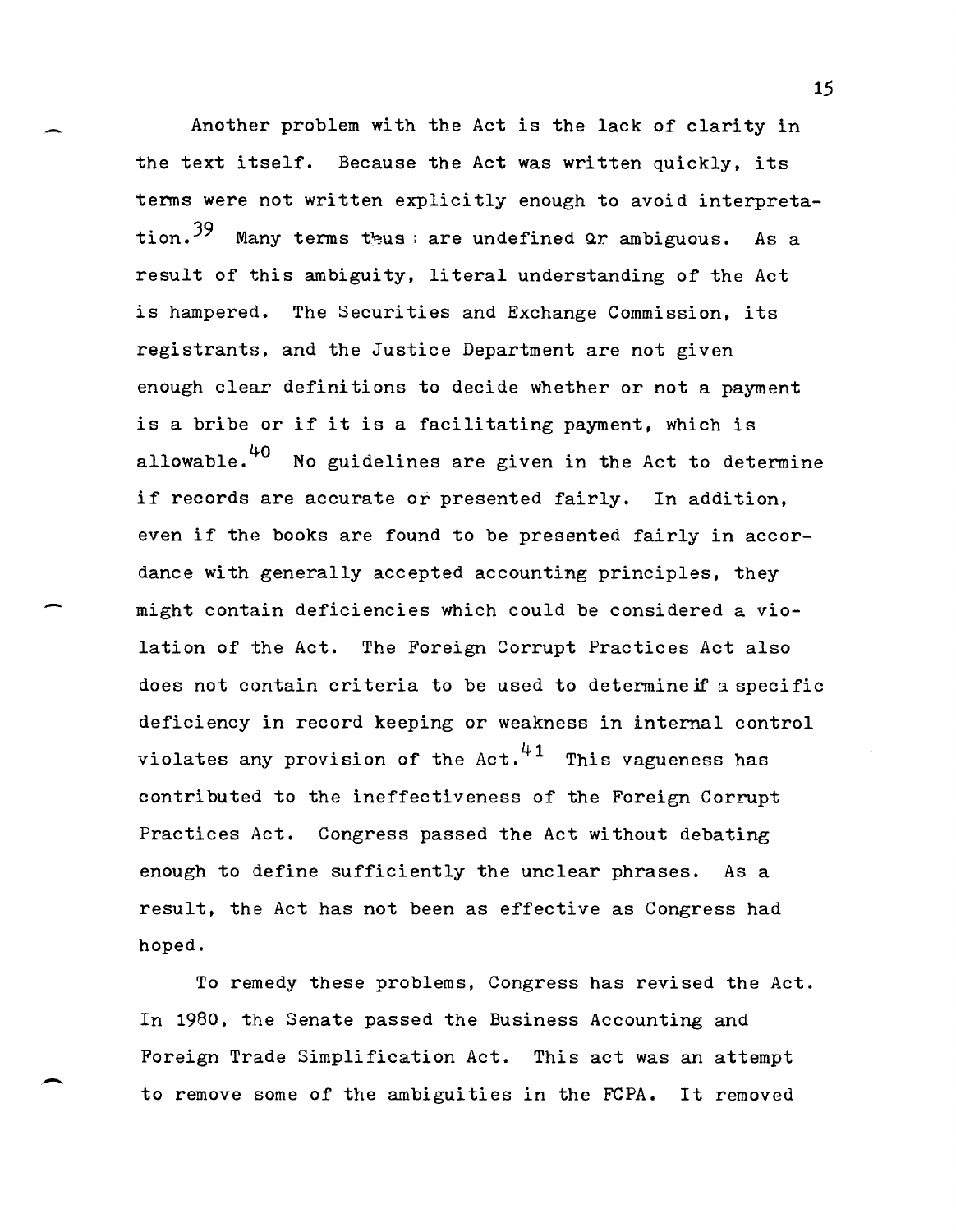Another problem with the Act is the lack of clarity in the text itself. Because the Act was written quickly, its terms were not written explicitly enough to avoid interpretation.  $39$  Many terms thus : are undefined Qr ambiguous. As a result of this ambiguity, literal understanding of the Act is hampered. The Securities and Exchange Commission, its registrants, and the Justice Department are not given enough clear definitions to decide whether or not a payment is a bribe or if it is a facilitating payment, which is allowable.<sup>40</sup> No guidelines are given in the Act to determine if records are accurate or presented fairly. In addition, even if the books are found to be presented fairly in accordance with generally accepted accounting principles, they might contain deficiencies which could be considered a violation of the Act. The Foreign Corrupt Practices Act also does not contain criteria to be used to determine if a specific deficiency in record keeping or weakness in internal control violates any provision of the Act. $41$  This vagueness has contributed to the ineffectiveness of the Foreign Corrupt Practices Act. Congress passed the Act without debating enough to define sufficiently the unclear phrases. As a result, the Act has not been as effective as Congress had hoped.

-

-

-

To remedy these problems, Congress has revised the Act. In 1980, the Senate passed the Business Accounting and Foreign Trade Simplification Act. This act was an attempt to remove some of the ambiguities in the FCPA. It removed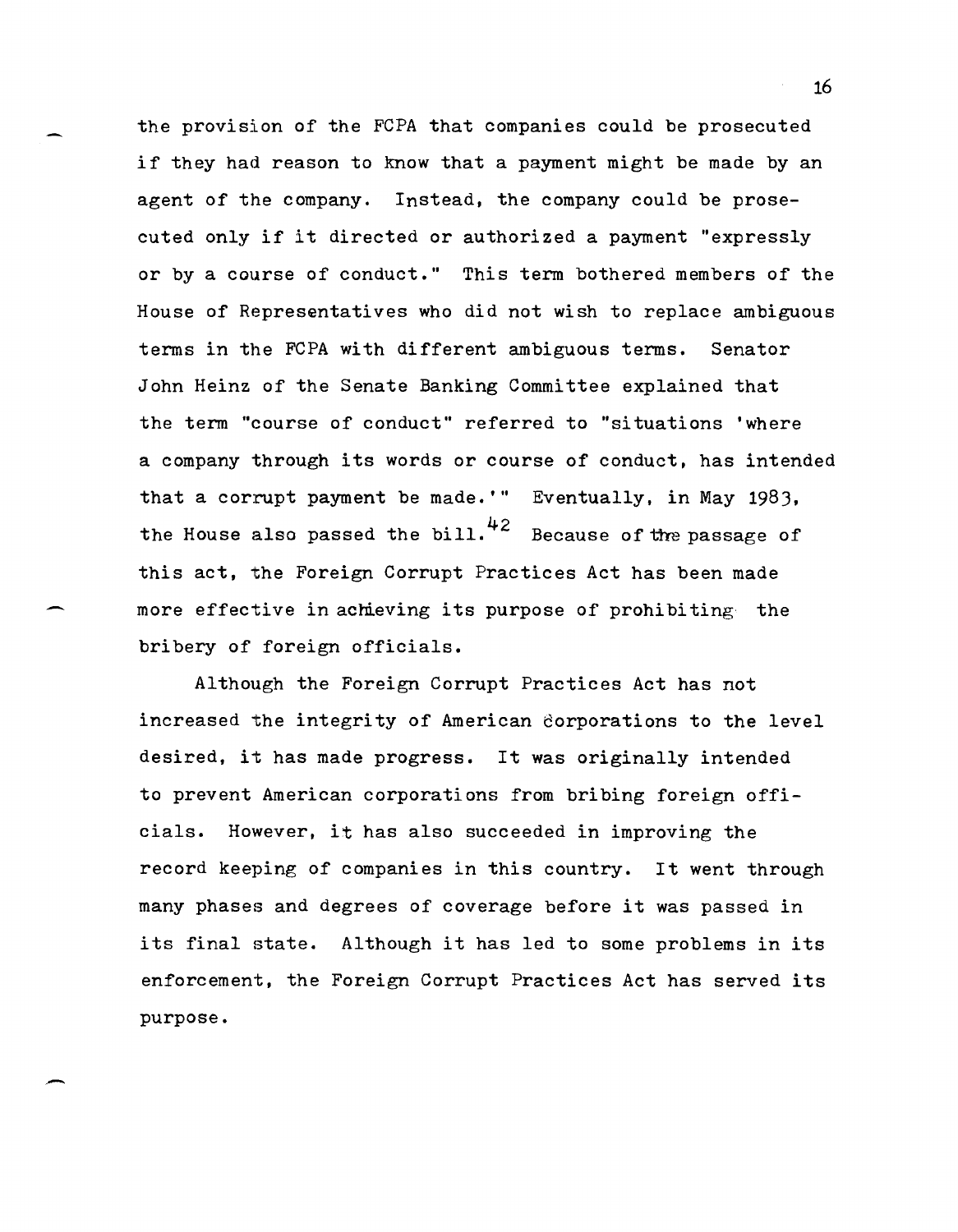the provision of the FCPA that companies could be prosecuted if they had reason to know that a payment might be made by an agent of the company. Instead. the company could be prosecuted only if it directed or authorized a payment "expressly or by a course of conduct." This term bothered members of the House of Representatives who did not wish to replace ambiguous terms in the FCPA with different ambiguous terms. Senator John Heinz of the Senate Banking Committee explained that the term "course of conduct" referred to "situations 'where a company through its words or course of conduct. has intended that a corrupt payment be made.'" Eventually, in May 1983, the House also passed the bill.<sup>42</sup> Because of the passage of this act. the Foreign Corrupt Practices Act has been made more effective in achieving its purpose of prohibiting the bribery of foreign officials.

Although the Foreign Corrupt Practices Act has not increased the integrity of American 6orporations to the level desired. it has made progress. It was originally intended to prevent American corporations from bribing foreign officials. However, it has also succeeded in improving the record keeping of companies in this country. It went through many phases and degrees of coverage before it was passed in its final state. Although it has led to some problems in its enforcement. the Foreign Corrupt Practices Act has served its purpose •

.-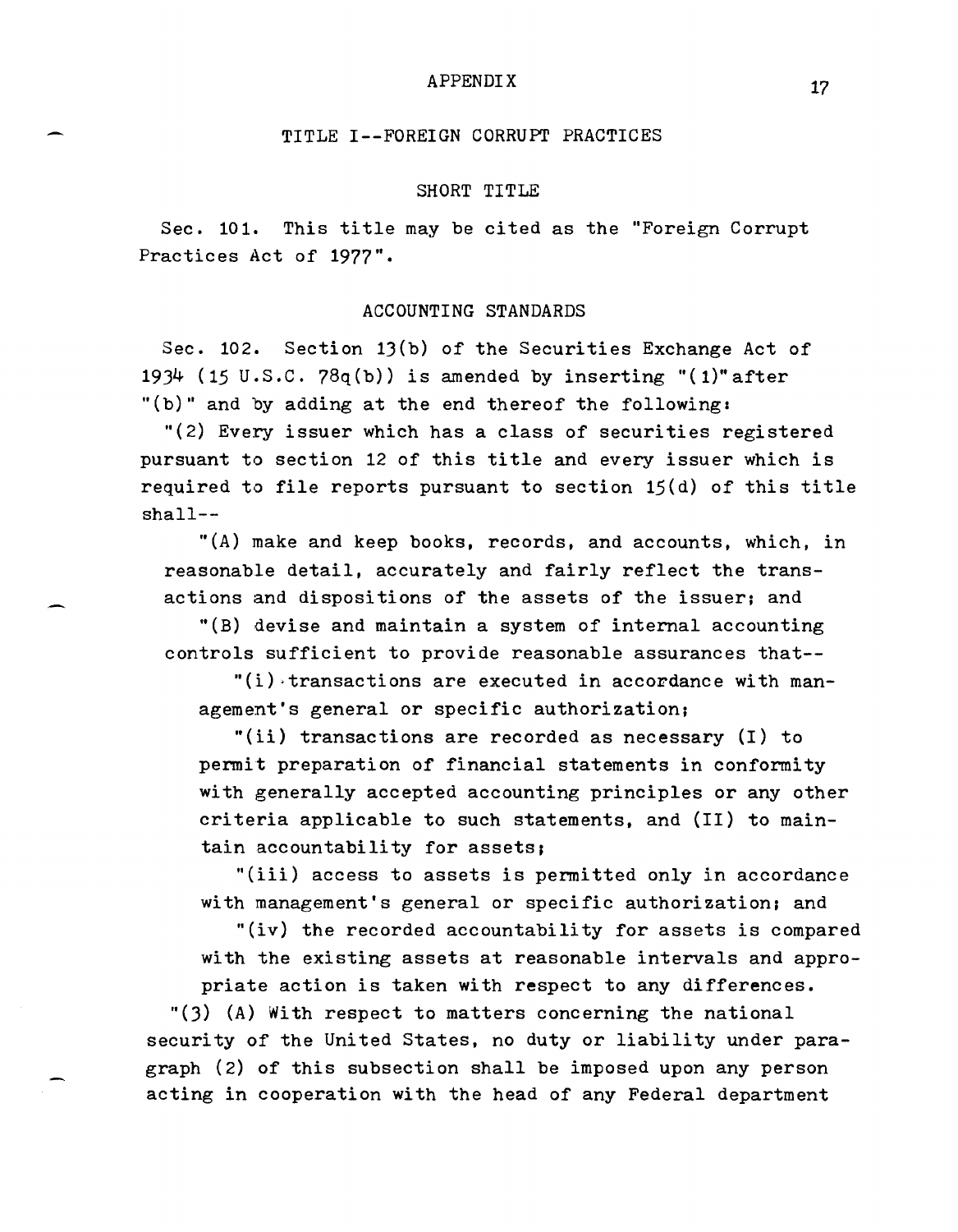#### APPENDIX

## TITLE I--FOREIGN CORRUPT PRACTICES

#### SHORT TITLE

Sec. 101. This title may be cited as the "Foreign Corrupt Practices Act of 1977".

## ACCOUNTING STANDARDS

Sec. 102. Section 13(b) of the Securities Exchange Act of 1934 (15 U.S.C. 78q(b)) is amended by inserting "(1)" after "(b)" and by adding at the end thereof the following:

 $r(2)$  Every issuer which has a class of securities registered pursuant to section 12 of this title and every issuer which is required to file reports pursuant to section 15(d) of this title shall--

 $"$ (A) make and keep books, records, and accounts, which, in reasonable detail, accurately and fairly reflect the transactions and dispositions of the assets of the issuer; and

 $\Gamma(B)$  devise and maintain a system of internal accounting controls sufficient to provide reasonable assurances that--

 $"(i)$  transactions are executed in accordance with management's general or specific authorization;

"(ii) transactions are recorded as necessary  $(I)$  to permit preparation of financial statements in conformity with generally accepted accounting principles or any other criteria applicable to such statements, and (II) to maintain accountability for assets;

"(iii) access to assets is permitted only in accordance with management's general or specific authorization; and

"(iv) the recorded accountability for assets is compared with the existing assets at reasonable intervals and appropriate action is taken with respect to any differences.

"(3) (A) With respect to matters concerning the national security of the United States, no duty or liability under paragraph (2) of this subsection shall be imposed upon any person acting in cooperation with the head of any Federal department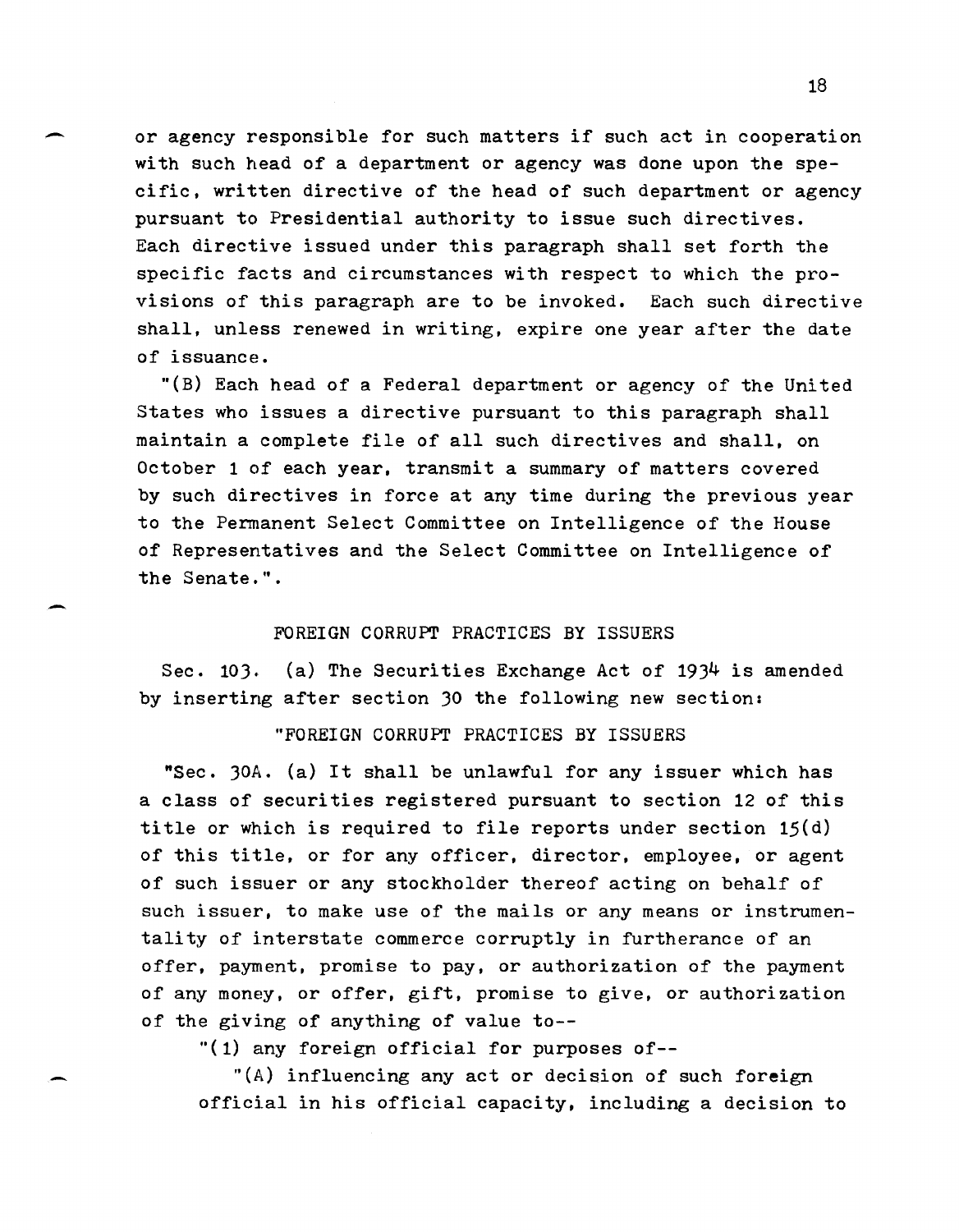or agency responsible for such matters if such act in cooperation with such head of a department or agency was done upon the specific, written directive of the head of such department or agency pursuant to Presidential authority to issue such directives. Each directive issued under this paragraph shall set forth the specific facts and circumstances with respect to which the provisions of this paragraph are to be invoked. Each such directive shall, unless renewed in writing, expire one year after the date of issuance.

"(B) Each head of a Federal department or agency of the United States who issues a directive pursuant to this paragraph shall maintain a complete file of all such directives and shall, on October 1 of each year, transmit a summary of matters covered by such directives in force at any time during the previous year to the Permanent Select Committee on Intelligence of the House of Representatives and the Select Committee on Intelligence of the Senate.".

## FOREIGN CORRUPT PRACTICES BY ISSUERS

-

Sec. 103. (a) The Securities Exchange Act of 1934 is amended by inserting after section 30 the following new section:

"FOREIGN CORRUPT PRACTICES BY ISSUERS

"Sec. 30A. (a) It shall be unlawful for any issuer which has a class of securities registered pursuant to section 12 of this title or which is required to file reports under section 15(d) of this title, or for any officer, director, employee, or agent of such issuer or any stockholder thereof acting on behalf of such issuer, to make use of the mails or any means or instrumentality of interstate commerce corruptly in furtherance of an offer, payment, promise to pay. or authorization of the payment of any money, or offer, gift, promise to give, or authorization of the giving of anything of value to--

"(1) any foreign official for purposes of--

"(A) influencing any act or decision of such foreign official in his official capacity, including a decision to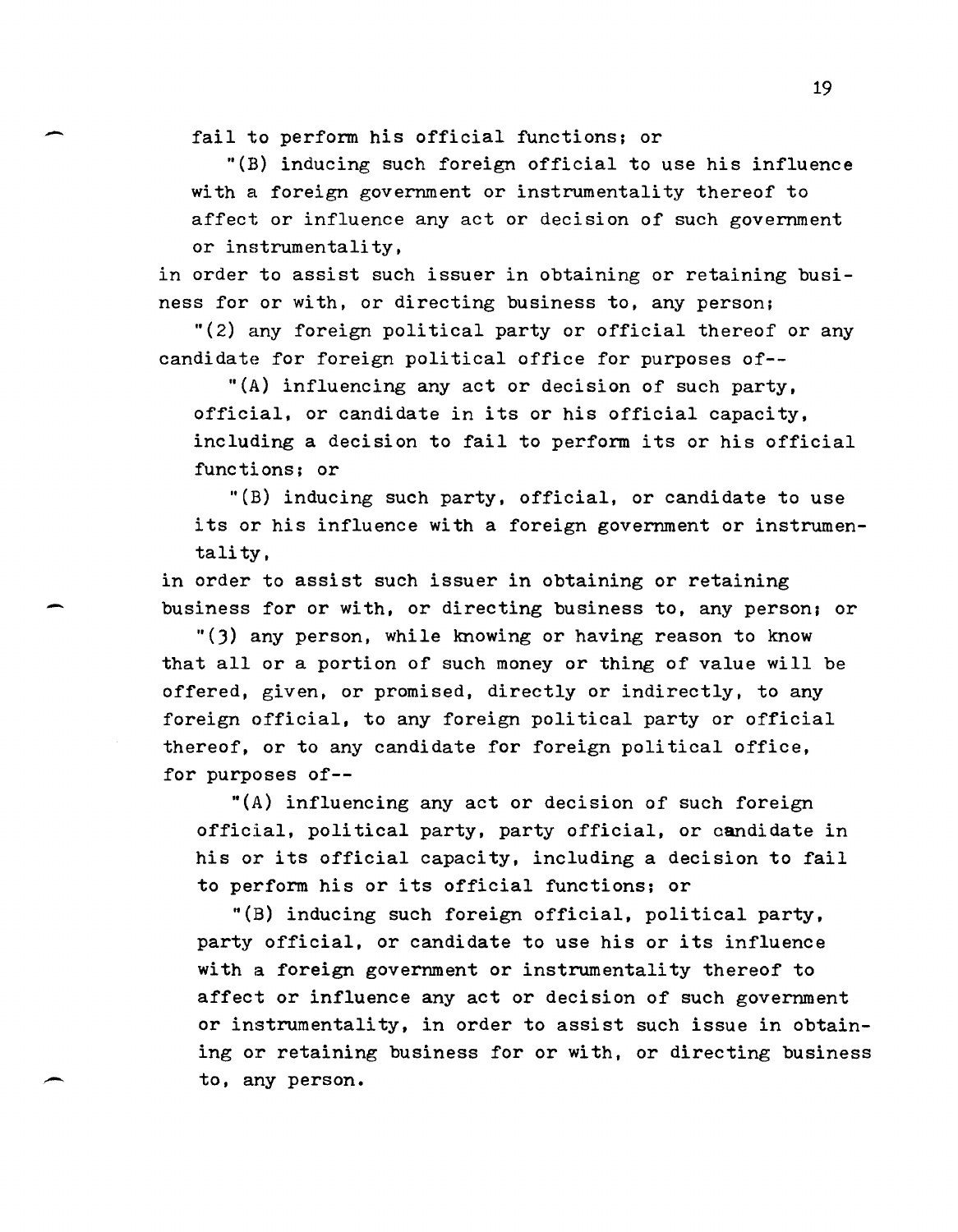fail to perform his official functions; or

-

-

 $\overline{\phantom{0}}$ 

"(B) inducing such foreign official to use his influence with a foreign government or instrumentality thereof to affect or influence any act or decision of such government or instrumentality,

in order to assist such issuer in obtaining or retaining business for or with, or directing business to, any person;

"(2) any foreign political party or official thereof or any candidate for foreign political office for purposes of--

"(A) influencing any act or decision of such party, official, or candidate in its or his official capacity, including a decision to fail to perform its or his official functions; or

"(B) inducing such party, official, or candidate to use its or his influence with a foreign government or instrumentali ty,

in order to assist such issuer in obtaining or retaining business for or with, or directing business to, any person; or

"(3) any person, while knowing or having reason to know that all or a portion of such money or thing of value will be offered, given, or promised, directly or indirectly, to any foreign official, to any foreign political party or official thereof, or to any candidate for foreign political office, for purposes of--

"(A) influencing any act or decision of such foreign official, political party, party official, or oandidate in his or its official capacity, including a decision to fail to perform his or its official functions; or

"(B) inducing such foreign official, political party, party official, or candidate to use his or its influence with a foreign government or instrumentality thereof to affect or influence any act or decision of such government or instrumentality, in order to assist such issue in obtaining or retaining business for or with, or directing business to, any person.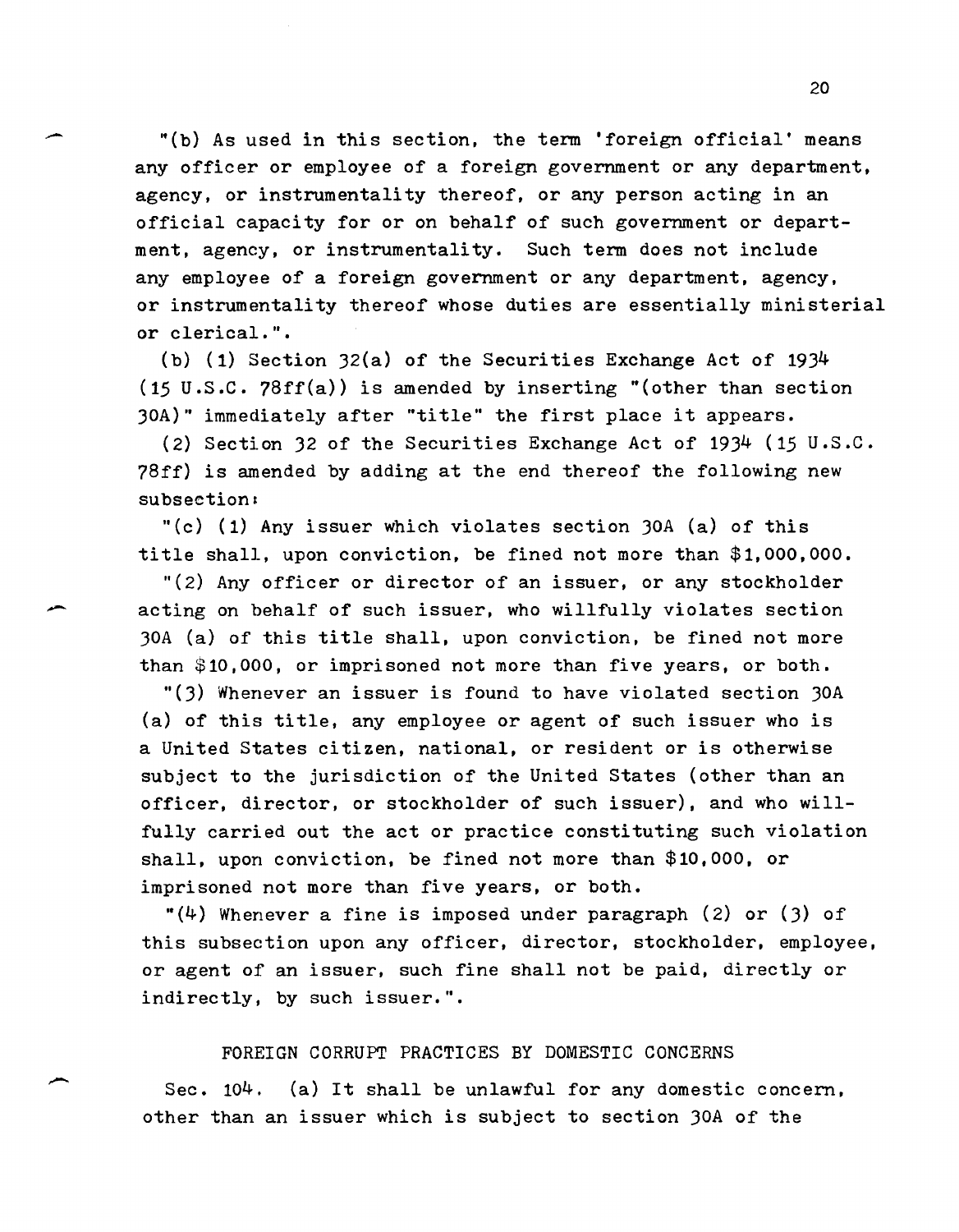20<br>
(b) As used in this section, the term 'foreign official' means<br>
example: an analogue of a family company an any department any officer or employee of a foreign government or any department, agency, or instrumentality thereof, or any person acting in an official capacity for or on behalf of such government or department, agency, or instrumentality. Such tern does not include any employee of a foreign government or any department, agency, or instrumentality thereof whose duties are essentially ministerial or clerical.".

> (b) (1) Section J2(a) of the Securities Exchange Act of 19J4 (15 U.S.C. 78ff(a)) is amended by inserting "(other than section 30A)" immediately after "title" the first place it appears.

(2) Section J2 of the Securities Exchange Act of 19J4 (15 u.s.c. 78ff) is amended by adding at the end thereof the following new subsection:

"(c) (1) Any issuer which violates section  $30A$  (a) of this title shall, upon conviction, be fined not more than \$1,000,000.

"(2) Any officer or director of an issuer, or any stockholder acting on behalf of such issuer, who willfully violates section JOA (a) of this title shall, upon conviction, be fined not more than \$10,000, or imprisoned not more than five years, or both.

"(J) Whenever an issuer is found to have violated section JOA (a) of this title, any employee or agent of such issuer who is a United States citizen, national, or resident or is otherwise subject to the jurisdiction of the United States (other than an officer, director, or stockholder of such issuer), and who willfully carried out the act or practice constituting such violation shall, upon conviction, be fined not more than \$10,000, or imprisoned not more than five years, or both.

 $"(4)$  Whenever a fine is imposed under paragraph (2) or (3) of this subsection upon any officer, director, stockholder, employee, or agent of an issuer, such fine shall not be paid, directly or indirectly, by such issuer.".

### FOREIGN CORRUPT PRACTICES BY DOMESTIC CONCERNS

--

Sec. 104. (a) It shall be unlawful for any domestic concern, other than an issuer which is subject to section JOA of the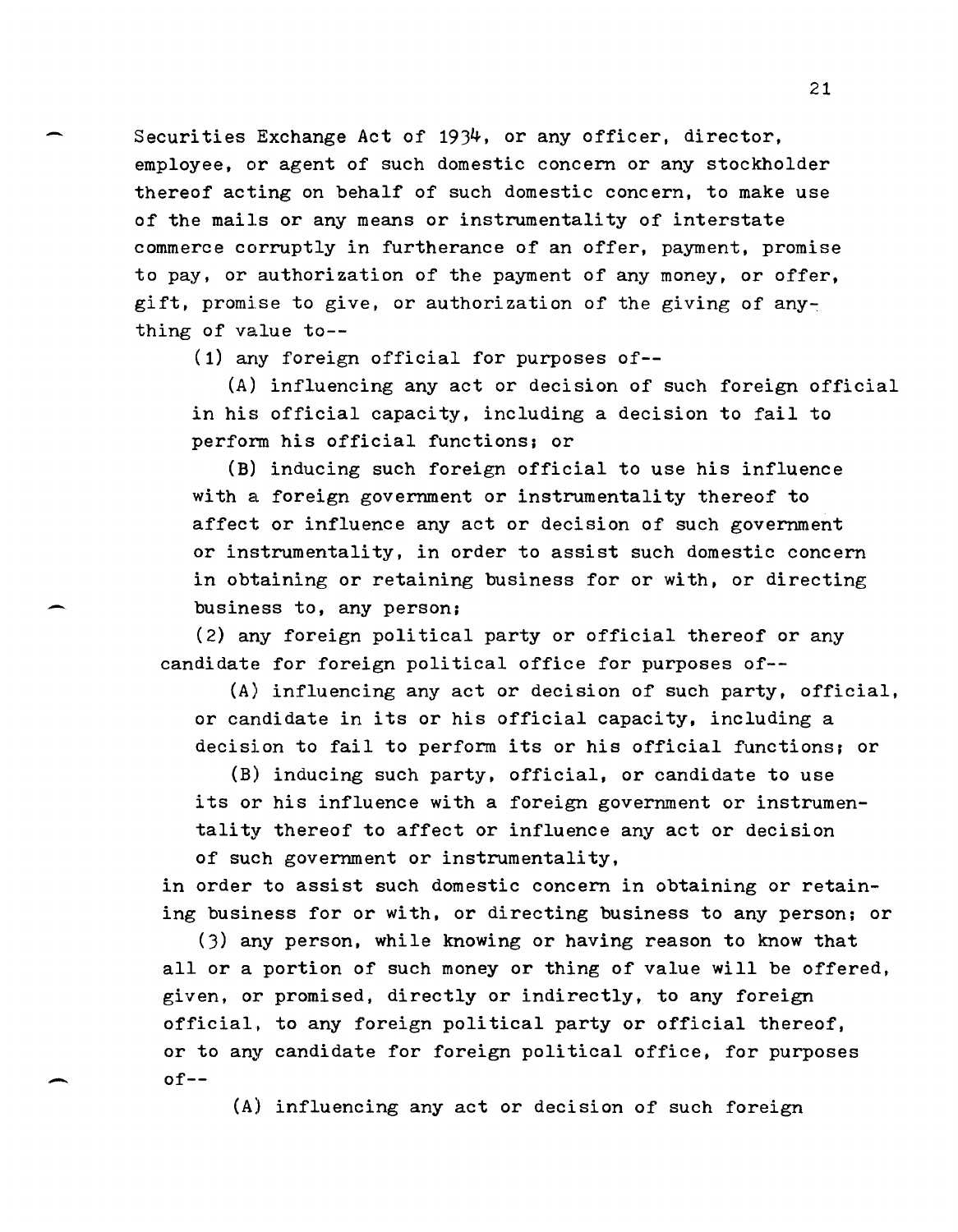Securities Exchange Act of 1934, or any officer, director, employee, or agent of such domestic concern or any stockholder thereof acting on behalf of such domestic concern, to make use of the mails or any means or instrumentality of interstate commerce corruptly in furtherance of an offer, payment, promise to pay, or authorization of the payment of any money, or offer, gift, promise to give, or authorization of the giving of anything of value to--

(1) any foreign official for purposes of--

(A) influencing any act or decision of such foreign official in his official capacity, including a decision to fail to perform his official functions; or

(B) inducing such foreign official to use his influence with a foreign government or instrumentality thereof to affect or influence any act or decision of such government or instrumentality, in order to assist such domestic concern in obtaining or retaining business for or with, or directing business to, any person;

(2) any foreign political party or official thereof or any candidate for foreign political office for purposes of--

(A) influencing any act or decision of such party, official, or candidate in its or his official capacity, including a decision to fail to perform its or his official functions; or

(B) inducing such party, official, or candidate to use its or his influence with a foreign government or instrumentality thereof to affect or influence any act or decision of such government or instrumentality,

in order to assist such domestic concern in obtaining or retaining business for or with, or directing business to any person; or

(3) any person, while knowing or having reason to know that all or a portion of such money or thing of value will be offered, given, or promised, directly or indirectly, to any foreign official, to any foreign political party or official thereof, or to any candidate for foreign political office, for purposes of--

(A) influencing any act or decision of such foreign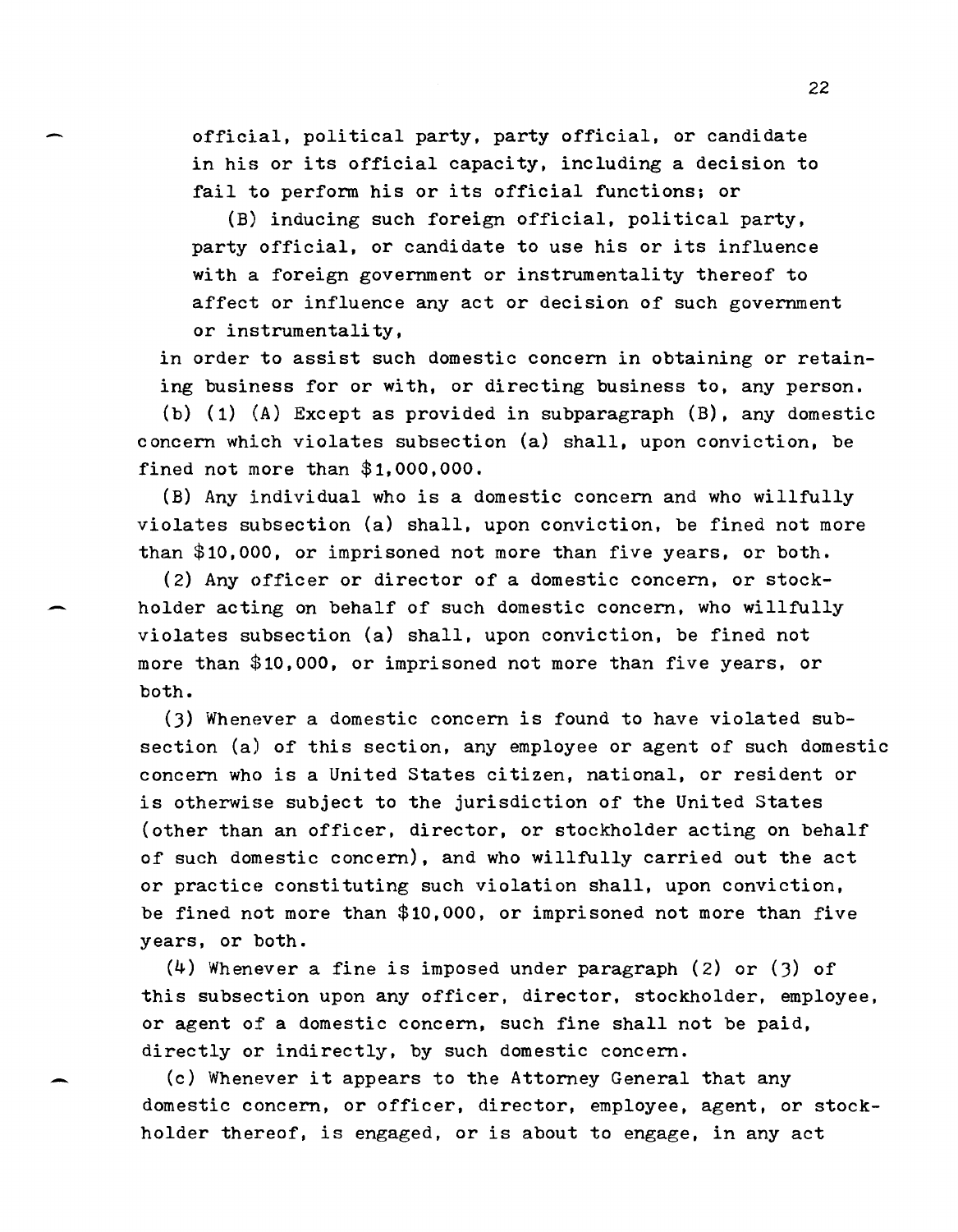official, political party, party official, or candidate in his or its official capacity, including a decision to fail to perform his or its official functions; or

(B) inducing such foreign official, political party, party official, or candidate to use his or its influence with a foreign government or instrumentality thereof to affect or influence any act or decision of such government or instrumentality,

in order to assist such domestic concern in obtaining or retaining business for or with, or directing business to, any person.

(b) (1) (A) Except as provided in subparagraph (B), any domestic concern which violates subsection (a) shall, upon conviction, be fined not more than \$1,000,000.

(B) Any individual who is a domestic concern and who willfully violates subsection (a) shall, upon conviction, be fined not more than \$10,000, or imprisoned not more than five years, or both.

(2) Any officer or director of a domestic concern, or stock holder acting on behalf of such domestic concern, who willfully violates subsection (a) shall, upon conviction, be fined not more than \$10,000, or imprisoned not more than five years, or both.

(3) Whenever a domestic concern is found to have violated subsection (a) of this section, any employee or agent of such domestic concern who is a United States citizen, national, or resident or is otherwise subject to the jurisdiction of the United States (other than an officer, director, or stockholder acting on behalf of such domestic concern), and who willfully carried out the act or practice constituting such violation shall, upon conviction, be fined not more than \$10,000, or imprisoned not more than five years, or both.

(4) Whenever a fine is imposed under paragraph (2) or (3) of this subsection upon any officer, director, stockholder, employee, or agent of a domestic concern, such fine shall not be paid, directly or indirectly, by such domestic concern.

(c) Whenever it appears to the Attorney General that any domestic concern, or officer, director, employee, agent, or stockholder thereof, is engaged, or is about to engage, in any act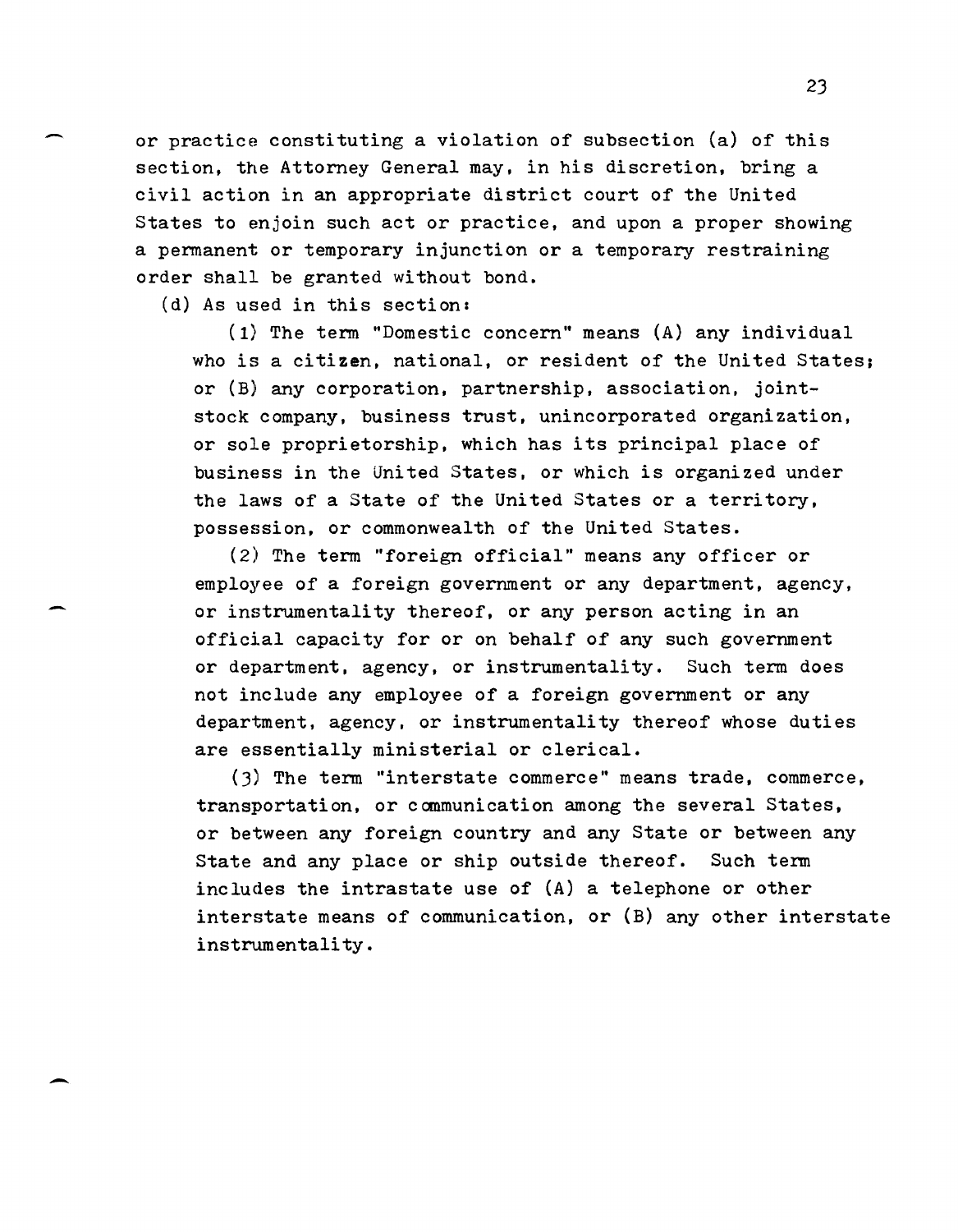or practice constituting a violation of subsection (a) of this section, the Attorney General may, in his discretion, bring a civil action in an appropriate district court of the United States to enjoin such act or practice, and upon a proper showing a permanent or temporary injunction or a temporary restraining order shall be granted without bond.

(d) As used in this section:

-

(1) The term "Domestic concern" means (A) any individual who is a citizen, national, or resident of the United States; or (B) any corporation, partnership, association, jointstock company, business trust. unincorporated organization, or sole proprietorship, which has its principal place of business in the United States, or which is organized under the laws of a State of the United States or a territory. possession. or commonwealth of the United States.

(2) The term "foreign official" means any officer or employee of a foreign government or any department. agency. or instrumentality thereof. or any person acting in an official capacity for or on behalf of any such government or department, agency, or instrumentality. Such term does not include any employee of a foreign government or any department, agency, or instrumentality thereof whose duties are essentially ministerial or clerical.

(3) The term "interstate commerce" means trade. commerce. transportation. or communication among the several States, or between any foreign country and any State or between any State and any place or ship outside thereof. Such term includes the intrastate use of (A) a telephone or other interstate means of communication. or (B) any other interstate instrumentality.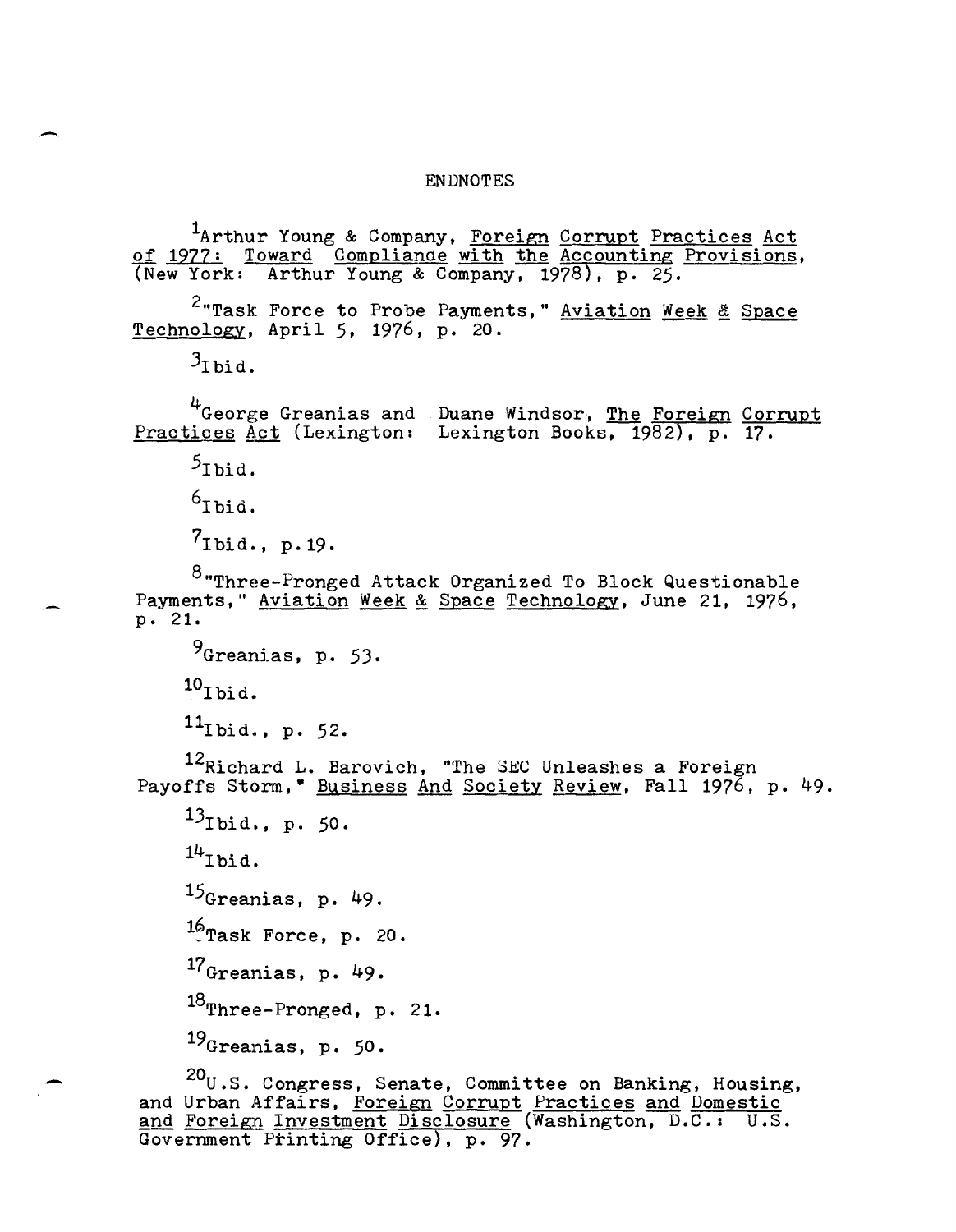#### ENDNOTES

<sup>1</sup>Arthur Young & Company, Foreign Corrupt Practices Act of 1977: Toward Compliande with the Accounting Provisions, (New York: Arthur Young & Company, 1978), p. 25.

<sup>2</sup>"Task Force to Probe Payments," Aviation Week & Space Technology, April 5, 1976, p. 20.

 $3_{\text{Ibid.}}$ 

<sup>4</sup>George Greanias and Practices Act (Lexington: Duane Windsor, The Foreign Corrupt Lexington Books, 1982), p. 17.

 $5_{\text{Ibid.}}$ 

 $6$ Ibid.

 $7_{\text{Ibid.}}$ , p.19.

 $8$ "Three-Pronged Attack Organized To Block Questionable Payments," Aviation Week & Space Technology, June 21, 1976, p. 21.

 $9$ Greanias, p. 53.  $^{10}$ Ibid.  $11$ Ibid., p. 52.

<sup>12</sup>Richard L. Barovich, "The SEC Unleashes a Foreign Payoffs Storm, " Business And Society Review, Fall 1976, p. 49.

 $13$ Ibid., p. 50.

 $14$ Ibid.

15Greanias, p. 49.  $^{16}$ Task Force, p. 20.

 $17<sub>Greanias</sub>$ , p. 49.

18Three-Pronged, p. 21.

19Greanias, p. 50.

~ 20 <sup>20</sup>U.S. Congress, Senate, Committee on Banking, Housing, and Urban Affairs, Foreign Corrupt Practices and Domestic and Foreign Investment Disclosure (Washington, D.C.: U.S. Government Printing Office), p. 97.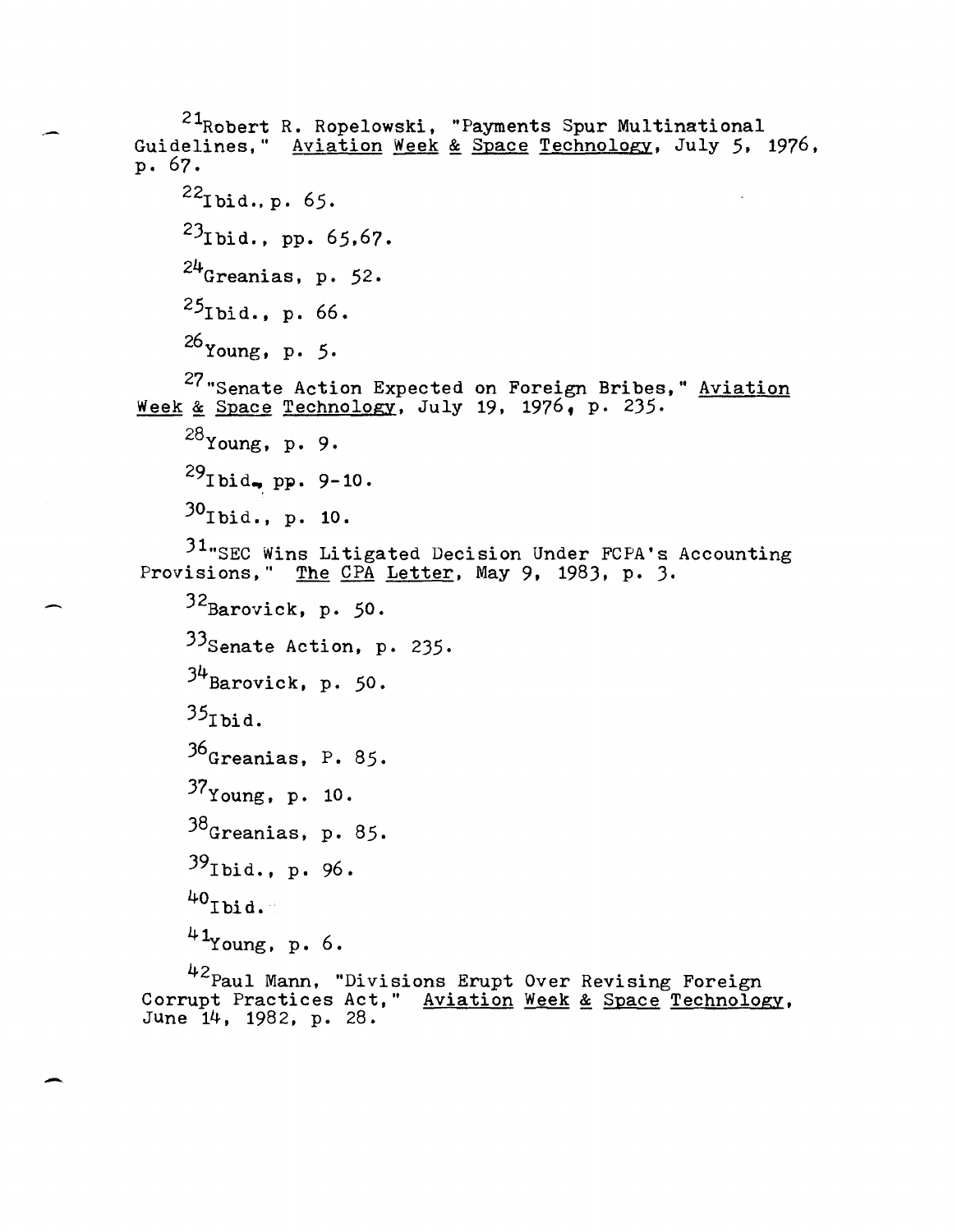<sup>21</sup>Robert R. Ropelowski, "Payments Spur Multinational Guidelines," Aviation Week & Space Technology, July 5, 1976, p. 67.  $^{22}$ I bid., p. 65.  $^{23}$ Ibid., pp. 65,67.  $24$ Greanias, p. 52.  $^{25}$ Ibid., p. 66. 26Young, p. 5. 27"Senate Action Expected on Foreign Bribes," Aviation Week & Space Technology, July 19, 1976, p. 235.  $^{28}$ Young, p. 9.  $^{29}$ Ibid., pp. 9-10.  $30$ Ibid., p. 10. 31.SEC Wins Litigated Decision Under FCPA's Accounting Provisions," The CPA Letter, May 9, 1983, p. 3.  $32$ Barovick, p. 50.  $33$ Senate Action, p. 235.  $34$ Barovick, p. 50.  $35$ Tbid. 36<sub>Greanias, P. 85.</sub> 37Young, p. 10. 38Greanias, p. 85.  $39$ Ibid., p. 96.  $^{40}$ Ibid.  $41$ Young, p. 6. <sup>42</sup>Paul Mann, "Divisions Erupt Over Revising Foreign Corrupt Practices Act," Aviation Week & Space Technology, June 14, 1982, p. 28.

-